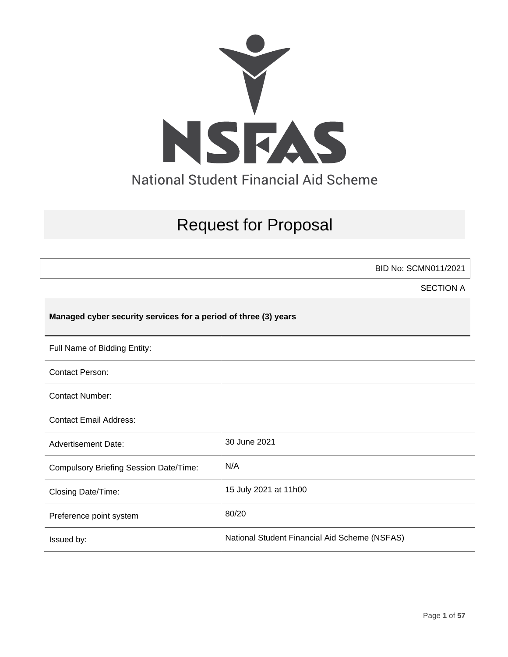

# Request for Proposal

BID No: SCMN011/2021

SECTION A

## **Managed cyber security services for a period of three (3) years**

| Full Name of Bidding Entity:                  |                                               |
|-----------------------------------------------|-----------------------------------------------|
| <b>Contact Person:</b>                        |                                               |
| <b>Contact Number:</b>                        |                                               |
| <b>Contact Email Address:</b>                 |                                               |
| <b>Advertisement Date:</b>                    | 30 June 2021                                  |
| <b>Compulsory Briefing Session Date/Time:</b> | N/A                                           |
| Closing Date/Time:                            | 15 July 2021 at 11h00                         |
| Preference point system                       | 80/20                                         |
| Issued by:                                    | National Student Financial Aid Scheme (NSFAS) |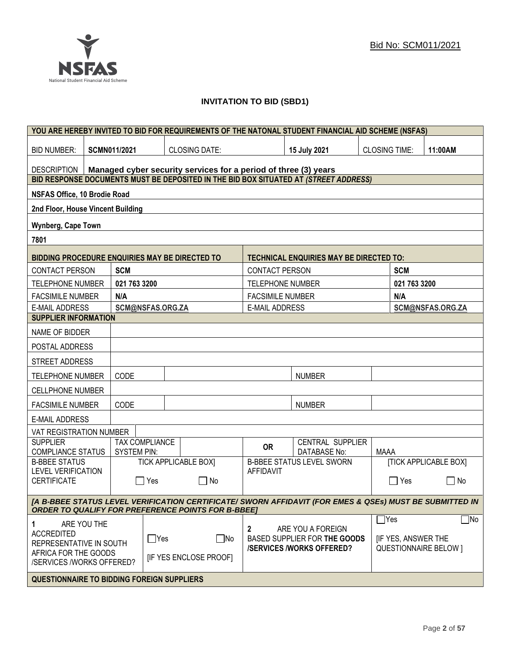

## **INVITATION TO BID (SBD1)**

|                                                                                       |                                                                                                                                                                      |                     |                  | YOU ARE HEREBY INVITED TO BID FOR REQUIREMENTS OF THE NATONAL STUDENT FINANCIAL AID SCHEME (NSFAS) |                         |                                                |                              |                  |                              |
|---------------------------------------------------------------------------------------|----------------------------------------------------------------------------------------------------------------------------------------------------------------------|---------------------|------------------|----------------------------------------------------------------------------------------------------|-------------------------|------------------------------------------------|------------------------------|------------------|------------------------------|
| <b>BID NUMBER:</b>                                                                    |                                                                                                                                                                      | <b>SCMN011/2021</b> |                  | <b>CLOSING DATE:</b>                                                                               |                         | 15 July 2021                                   | <b>CLOSING TIME:</b>         |                  | 11:00AM                      |
| <b>DESCRIPTION</b><br>Managed cyber security services for a period of three (3) years |                                                                                                                                                                      |                     |                  |                                                                                                    |                         |                                                |                              |                  |                              |
|                                                                                       |                                                                                                                                                                      |                     |                  | BID RESPONSE DOCUMENTS MUST BE DEPOSITED IN THE BID BOX SITUATED AT (STREET ADDRESS)               |                         |                                                |                              |                  |                              |
| <b>NSFAS Office, 10 Brodie Road</b>                                                   |                                                                                                                                                                      |                     |                  |                                                                                                    |                         |                                                |                              |                  |                              |
| 2nd Floor, House Vincent Building                                                     |                                                                                                                                                                      |                     |                  |                                                                                                    |                         |                                                |                              |                  |                              |
| <b>Wynberg, Cape Town</b>                                                             |                                                                                                                                                                      |                     |                  |                                                                                                    |                         |                                                |                              |                  |                              |
| 7801                                                                                  |                                                                                                                                                                      |                     |                  |                                                                                                    |                         |                                                |                              |                  |                              |
| BIDDING PROCEDURE ENQUIRIES MAY BE DIRECTED TO                                        |                                                                                                                                                                      |                     |                  |                                                                                                    |                         | <b>TECHNICAL ENQUIRIES MAY BE DIRECTED TO:</b> |                              |                  |                              |
| <b>CONTACT PERSON</b>                                                                 |                                                                                                                                                                      | <b>SCM</b>          |                  |                                                                                                    | <b>CONTACT PERSON</b>   |                                                |                              | <b>SCM</b>       |                              |
| <b>TELEPHONE NUMBER</b>                                                               |                                                                                                                                                                      | 021 763 3200        |                  |                                                                                                    | <b>TELEPHONE NUMBER</b> |                                                |                              | 021 763 3200     |                              |
| <b>FACSIMILE NUMBER</b>                                                               |                                                                                                                                                                      | N/A                 |                  |                                                                                                    | <b>FACSIMILE NUMBER</b> |                                                |                              | N/A              |                              |
| <b>E-MAIL ADDRESS</b>                                                                 |                                                                                                                                                                      |                     | SCM@NSFAS.ORG.ZA |                                                                                                    | <b>E-MAIL ADDRESS</b>   |                                                |                              |                  | SCM@NSFAS.ORG.ZA             |
| <b>SUPPLIER INFORMATION</b>                                                           |                                                                                                                                                                      |                     |                  |                                                                                                    |                         |                                                |                              |                  |                              |
| NAME OF BIDDER                                                                        |                                                                                                                                                                      |                     |                  |                                                                                                    |                         |                                                |                              |                  |                              |
| POSTAL ADDRESS                                                                        |                                                                                                                                                                      |                     |                  |                                                                                                    |                         |                                                |                              |                  |                              |
| STREET ADDRESS                                                                        |                                                                                                                                                                      |                     |                  |                                                                                                    |                         |                                                |                              |                  |                              |
| <b>TELEPHONE NUMBER</b>                                                               |                                                                                                                                                                      | CODE                |                  |                                                                                                    |                         | <b>NUMBER</b>                                  |                              |                  |                              |
| <b>CELLPHONE NUMBER</b>                                                               |                                                                                                                                                                      |                     |                  |                                                                                                    |                         |                                                |                              |                  |                              |
| <b>FACSIMILE NUMBER</b>                                                               |                                                                                                                                                                      | CODE                |                  |                                                                                                    |                         | <b>NUMBER</b>                                  |                              |                  |                              |
| <b>E-MAIL ADDRESS</b>                                                                 |                                                                                                                                                                      |                     |                  |                                                                                                    |                         |                                                |                              |                  |                              |
| VAT REGISTRATION NUMBER                                                               |                                                                                                                                                                      |                     |                  |                                                                                                    |                         |                                                |                              |                  |                              |
| <b>SUPPLIER</b><br><b>COMPLIANCE STATUS</b>                                           |                                                                                                                                                                      | <b>SYSTEM PIN:</b>  | TAX COMPLIANCE   |                                                                                                    | <b>OR</b>               | CENTRAL SUPPLIER<br><b>DATABASE No:</b>        | <b>MAAA</b>                  |                  |                              |
| <b>B-BBEE STATUS</b>                                                                  |                                                                                                                                                                      |                     |                  | <b>TICK APPLICABLE BOX]</b>                                                                        |                         | <b>B-BBEE STATUS LEVEL SWORN</b>               |                              |                  | <b>[TICK APPLICABLE BOX]</b> |
| <b>LEVEL VERIFICATION</b><br><b>CERTIFICATE</b>                                       |                                                                                                                                                                      | $\mathbf{I}$        | Yes              | $\Box$ No                                                                                          | <b>AFFIDAVIT</b>        |                                                |                              | $\Box$ Yes       | $\Box$<br>No                 |
|                                                                                       | [A B-BBEE STATUS LEVEL VERIFICATION CERTIFICATE/ SWORN AFFIDAVIT (FOR EMES & QSEs) MUST BE SUBMITTED IN<br><b>ORDER TO QUALIFY FOR PREFERENCE POINTS FOR B-BBEET</b> |                     |                  |                                                                                                    |                         |                                                |                              |                  |                              |
|                                                                                       |                                                                                                                                                                      |                     |                  |                                                                                                    |                         |                                                |                              | $\mathsf{T}$ Yes | $\Box$ No                    |
| ARE YOU THE<br>1<br><b>ACCREDITED</b><br>$\Box$ Yes<br>REPRESENTATIVE IN SOUTH        |                                                                                                                                                                      | $\Box$ No           | 2                | ARE YOU A FOREIGN<br>BASED SUPPLIER FOR THE GOODS<br><b>/SERVICES/WORKS OFFERED?</b>               |                         | <b>IF YES, ANSWER THE</b>                      | <b>QUESTIONNAIRE BELOW 1</b> |                  |                              |
|                                                                                       | AFRICA FOR THE GOODS<br><b>IF YES ENCLOSE PROOFI</b><br>/SERVICES /WORKS OFFERED?                                                                                    |                     |                  |                                                                                                    |                         |                                                |                              |                  |                              |
| <b>QUESTIONNAIRE TO BIDDING FOREIGN SUPPLIERS</b>                                     |                                                                                                                                                                      |                     |                  |                                                                                                    |                         |                                                |                              |                  |                              |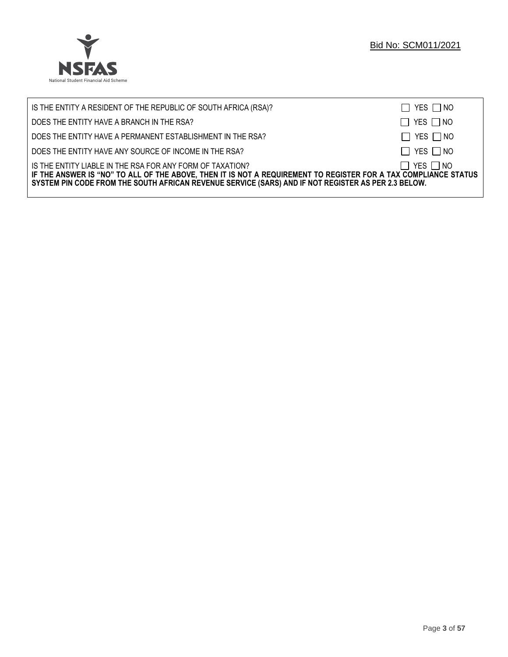

| IS THE ENTITY A RESIDENT OF THE REPUBLIC OF SOUTH AFRICA (RSA)?                                                                                                                                                                                                                     | $\Box$ YES $\Box$ NO |
|-------------------------------------------------------------------------------------------------------------------------------------------------------------------------------------------------------------------------------------------------------------------------------------|----------------------|
| DOES THE ENTITY HAVE A BRANCH IN THE RSA?                                                                                                                                                                                                                                           | $\Box$ YES $\Box$ NO |
| DOES THE ENTITY HAVE A PERMANENT ESTABLISHMENT IN THE RSA?                                                                                                                                                                                                                          | $\Box$ YES $\Box$ NO |
| DOES THE ENTITY HAVE ANY SOURCE OF INCOME IN THE RSA?                                                                                                                                                                                                                               | $\Box$ YES $\Box$ NO |
| IS THE ENTITY LIABLE IN THE RSA FOR ANY FORM OF TAXATION?<br>IF THE ANSWER IS "NO" TO ALL OF THE ABOVE, THEN IT IS NOT A REQUIREMENT TO REGISTER FOR A TAX COMPLIANCE STATUS<br>SYSTEM PIN CODE FROM THE SOUTH AFRICAN REVENUE SERVICE (SARS) AND IF NOT REGISTER AS PER 2.3 BELOW. | $\Box$ YES $\Box$ NO |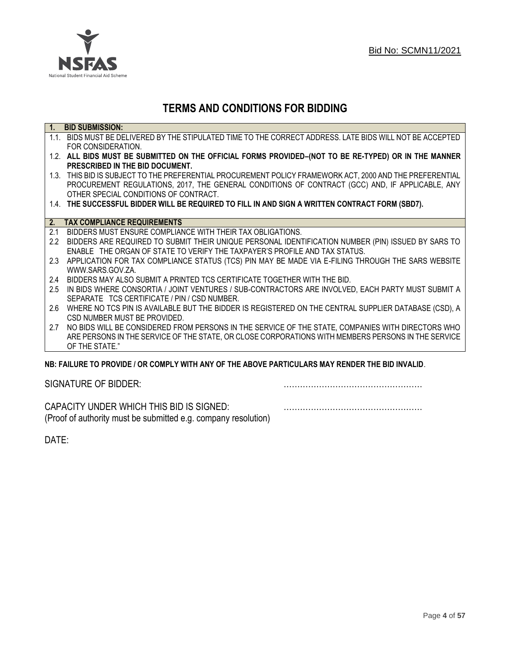

# **TERMS AND CONDITIONS FOR BIDDING**

| $\overline{1}$ . | <b>BID SUBMISSION:</b>                                                                                    |
|------------------|-----------------------------------------------------------------------------------------------------------|
|                  | 1.1. BIDS MUST BE DELIVERED BY THE STIPULATED TIME TO THE CORRECT ADDRESS. LATE BIDS WILL NOT BE ACCEPTED |
|                  | FOR CONSIDERATION.                                                                                        |
|                  | 1.2. ALL BIDS MUST BE SUBMITTED ON THE OFFICIAL FORMS PROVIDED-(NOT TO BE RE-TYPED) OR IN THE MANNER      |
|                  | PRESCRIBED IN THE BID DOCUMENT.                                                                           |
|                  | 1.3. THIS BID IS SUBJECT TO THE PREFERENTIAL PROCUREMENT POLICY FRAMEWORK ACT, 2000 AND THE PREFERENTIAL  |
|                  | PROCUREMENT REGULATIONS, 2017, THE GENERAL CONDITIONS OF CONTRACT (GCC) AND, IF APPLICABLE, ANY           |
|                  | OTHER SPECIAL CONDITIONS OF CONTRACT.                                                                     |
|                  | 1.4. THE SUCCESSFUL BIDDER WILL BE REQUIRED TO FILL IN AND SIGN A WRITTEN CONTRACT FORM (SBD7).           |
|                  |                                                                                                           |
|                  | 2. TAX COMPLIANCE REQUIREMENTS                                                                            |
| 2.1              | BIDDERS MUST ENSURE COMPLIANCE WITH THEIR TAX OBLIGATIONS.                                                |
| $2.2^{\circ}$    | BIDDERS ARE REQUIRED TO SUBMIT THEIR UNIQUE PERSONAL IDENTIFICATION NUMBER (PIN) ISSUED BY SARS TO        |
|                  | ENABLE THE ORGAN OF STATE TO VERIFY THE TAXPAYER'S PROFILE AND TAX STATUS.                                |
| 2.3              | APPLICATION FOR TAX COMPLIANCE STATUS (TCS) PIN MAY BE MADE VIA E-FILING THROUGH THE SARS WEBSITE         |
|                  | WWW.SARS.GOV.ZA.                                                                                          |
| 2.4              | BIDDERS MAY ALSO SUBMIT A PRINTED TCS CERTIFICATE TOGETHER WITH THE BID.                                  |
| 2.5              | IN BIDS WHERE CONSORTIA / JOINT VENTURES / SUB-CONTRACTORS ARE INVOLVED, EACH PARTY MUST SUBMIT A         |
|                  | SEPARATE TCS CERTIFICATE / PIN / CSD NUMBER.                                                              |
| 2.6              | WHERE NO TCS PIN IS AVAILABLE BUT THE BIDDER IS REGISTERED ON THE CENTRAL SUPPLIER DATABASE (CSD), A      |
|                  | CSD NUMBER MUST BE PROVIDED.                                                                              |
| 2.7              | NO BIDS WILL BE CONSIDERED FROM PERSONS IN THE SERVICE OF THE STATE, COMPANIES WITH DIRECTORS WHO         |
|                  | ARE PERSONS IN THE SERVICE OF THE STATE, OR CLOSE CORPORATIONS WITH MEMBERS PERSONS IN THE SERVICE        |
|                  | OF THE STATE."                                                                                            |
|                  | ND. EAILHDE TÓ DDÓVIDE LOD COMDLV WITH ANY OF THE ADÓVE DADTICHLADO MAY DENDED THE DID INVALID            |

## **NB: FAILURE TO PROVIDE / OR COMPLY WITH ANY OF THE ABOVE PARTICULARS MAY RENDER THE BID INVALID**.

|  | SIGNATURE OF BIDDER: |
|--|----------------------|
|--|----------------------|

SIGNATURE OF BIDDER: ……………………………………………

CAPACITY UNDER WHICH THIS BID IS SIGNED: …………………………………………… (Proof of authority must be submitted e.g. company resolution)

DATE: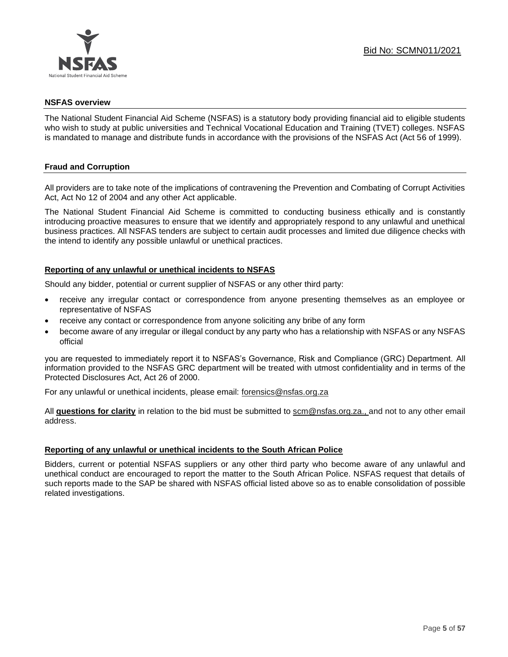

## **NSFAS overview**

The National Student Financial Aid Scheme (NSFAS) is a statutory body providing financial aid to eligible students who wish to study at public universities and Technical Vocational Education and Training (TVET) colleges. NSFAS is mandated to manage and distribute funds in accordance with the provisions of the NSFAS Act (Act 56 of 1999).

## **Fraud and Corruption**

All providers are to take note of the implications of contravening the Prevention and Combating of Corrupt Activities Act, Act No 12 of 2004 and any other Act applicable.

The National Student Financial Aid Scheme is committed to conducting business ethically and is constantly introducing proactive measures to ensure that we identify and appropriately respond to any unlawful and unethical business practices. All NSFAS tenders are subject to certain audit processes and limited due diligence checks with the intend to identify any possible unlawful or unethical practices.

## **Reporting of any unlawful or unethical incidents to NSFAS**

Should any bidder, potential or current supplier of NSFAS or any other third party:

- receive any irregular contact or correspondence from anyone presenting themselves as an employee or representative of NSFAS
- receive any contact or correspondence from anyone soliciting any bribe of any form
- become aware of any irregular or illegal conduct by any party who has a relationship with NSFAS or any NSFAS official

you are requested to immediately report it to NSFAS's Governance, Risk and Compliance (GRC) Department. All information provided to the NSFAS GRC department will be treated with utmost confidentiality and in terms of the Protected Disclosures Act, Act 26 of 2000.

For any unlawful or unethical incidents, please email: [forensics@nsfas.org.za](mailto:forensics@nsfas.org.za)

All **questions for clarity** in relation to the bid must be submitted to [scm@nsfas.org.za.](mailto:scm@nsfas.org.za), and not to any other email address.

## **Reporting of any unlawful or unethical incidents to the South African Police**

Bidders, current or potential NSFAS suppliers or any other third party who become aware of any unlawful and unethical conduct are encouraged to report the matter to the South African Police. NSFAS request that details of such reports made to the SAP be shared with NSFAS official listed above so as to enable consolidation of possible related investigations.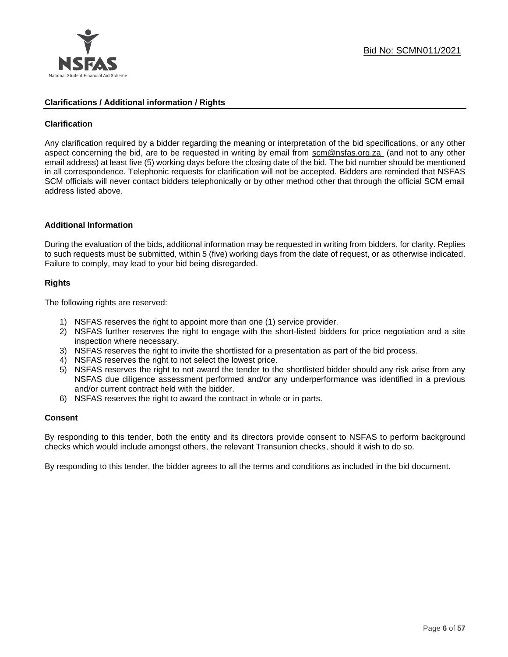

## **Clarifications / Additional information / Rights**

## **Clarification**

Any clarification required by a bidder regarding the meaning or interpretation of the bid specifications, or any other aspect concerning the bid, are to be requested in writing by email from [scm@nsfas.org.za](mailto:scm@nsfas.org.za) (and not to any other email address) at least five (5) working days before the closing date of the bid. The bid number should be mentioned in all correspondence. Telephonic requests for clarification will not be accepted. Bidders are reminded that NSFAS SCM officials will never contact bidders telephonically or by other method other that through the official SCM email address listed above.

#### **Additional Information**

During the evaluation of the bids, additional information may be requested in writing from bidders, for clarity. Replies to such requests must be submitted, within 5 (five) working days from the date of request, or as otherwise indicated. Failure to comply, may lead to your bid being disregarded.

#### **Rights**

The following rights are reserved:

- 1) NSFAS reserves the right to appoint more than one (1) service provider.
- 2) NSFAS further reserves the right to engage with the short-listed bidders for price negotiation and a site inspection where necessary.
- 3) NSFAS reserves the right to invite the shortlisted for a presentation as part of the bid process.
- 4) NSFAS reserves the right to not select the lowest price.
- 5) NSFAS reserves the right to not award the tender to the shortlisted bidder should any risk arise from any NSFAS due diligence assessment performed and/or any underperformance was identified in a previous and/or current contract held with the bidder.
- 6) NSFAS reserves the right to award the contract in whole or in parts.

#### **Consent**

By responding to this tender, both the entity and its directors provide consent to NSFAS to perform background checks which would include amongst others, the relevant Transunion checks, should it wish to do so.

By responding to this tender, the bidder agrees to all the terms and conditions as included in the bid document.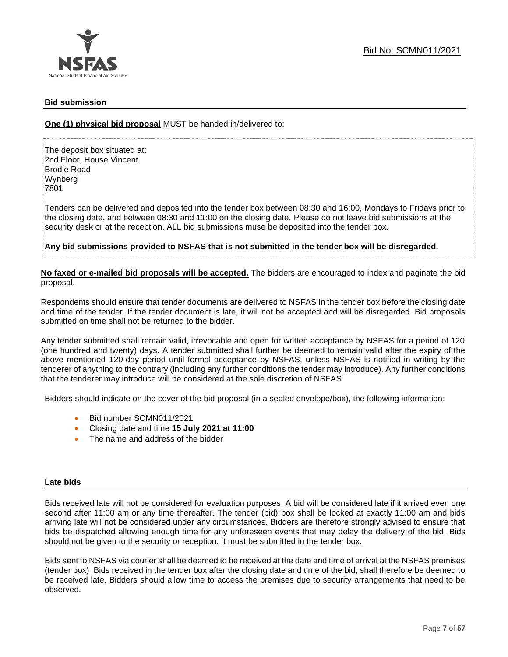

## **Bid submission**

**One (1) physical bid proposal** MUST be handed in/delivered to:

The deposit box situated at: 2nd Floor, House Vincent Brodie Road Wynberg 7801

Tenders can be delivered and deposited into the tender box between 08:30 and 16:00, Mondays to Fridays prior to the closing date, and between 08:30 and 11:00 on the closing date. Please do not leave bid submissions at the security desk or at the reception. ALL bid submissions muse be deposited into the tender box.

**Any bid submissions provided to NSFAS that is not submitted in the tender box will be disregarded.**

**No faxed or e-mailed bid proposals will be accepted.** The bidders are encouraged to index and paginate the bid proposal.

Respondents should ensure that tender documents are delivered to NSFAS in the tender box before the closing date and time of the tender. If the tender document is late, it will not be accepted and will be disregarded. Bid proposals submitted on time shall not be returned to the bidder.

Any tender submitted shall remain valid, irrevocable and open for written acceptance by NSFAS for a period of 120 (one hundred and twenty) days. A tender submitted shall further be deemed to remain valid after the expiry of the above mentioned 120-day period until formal acceptance by NSFAS, unless NSFAS is notified in writing by the tenderer of anything to the contrary (including any further conditions the tender may introduce). Any further conditions that the tenderer may introduce will be considered at the sole discretion of NSFAS.

Bidders should indicate on the cover of the bid proposal (in a sealed envelope/box), the following information:

- Bid number SCMN011/2021
- Closing date and time **15 July 2021 at 11:00**
- The name and address of the bidder

#### **Late bids**

Bids received late will not be considered for evaluation purposes. A bid will be considered late if it arrived even one second after 11:00 am or any time thereafter. The tender (bid) box shall be locked at exactly 11:00 am and bids arriving late will not be considered under any circumstances. Bidders are therefore strongly advised to ensure that bids be dispatched allowing enough time for any unforeseen events that may delay the delivery of the bid. Bids should not be given to the security or reception. It must be submitted in the tender box.

Bids sent to NSFAS via courier shall be deemed to be received at the date and time of arrival at the NSFAS premises (tender box) Bids received in the tender box after the closing date and time of the bid, shall therefore be deemed to be received late. Bidders should allow time to access the premises due to security arrangements that need to be observed.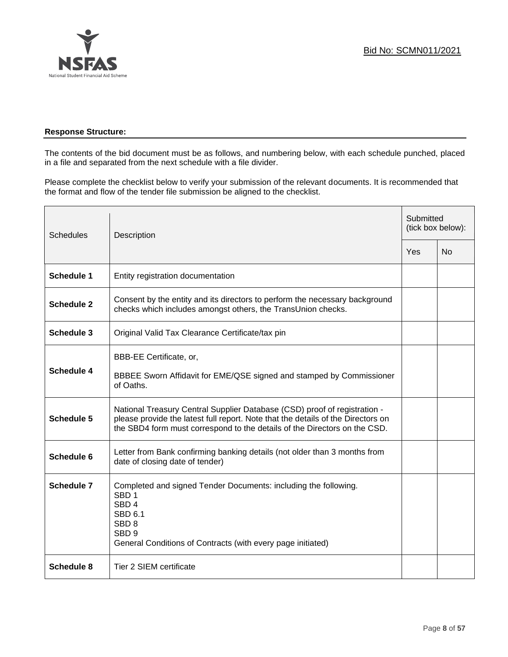

## **Response Structure:**

The contents of the bid document must be as follows, and numbering below, with each schedule punched, placed in a file and separated from the next schedule with a file divider.

Please complete the checklist below to verify your submission of the relevant documents. It is recommended that the format and flow of the tender file submission be aligned to the checklist.

| <b>Schedules</b>  | Description                                                                                                                                                                                                                                |  | Submitted<br>(tick box below): |  |
|-------------------|--------------------------------------------------------------------------------------------------------------------------------------------------------------------------------------------------------------------------------------------|--|--------------------------------|--|
|                   |                                                                                                                                                                                                                                            |  | <b>No</b>                      |  |
| <b>Schedule 1</b> | Entity registration documentation                                                                                                                                                                                                          |  |                                |  |
| <b>Schedule 2</b> | Consent by the entity and its directors to perform the necessary background<br>checks which includes amongst others, the TransUnion checks.                                                                                                |  |                                |  |
| <b>Schedule 3</b> | Original Valid Tax Clearance Certificate/tax pin                                                                                                                                                                                           |  |                                |  |
| <b>Schedule 4</b> | BBB-EE Certificate, or,<br>BBBEE Sworn Affidavit for EME/QSE signed and stamped by Commissioner<br>of Oaths.                                                                                                                               |  |                                |  |
| <b>Schedule 5</b> | National Treasury Central Supplier Database (CSD) proof of registration -<br>please provide the latest full report. Note that the details of the Directors on<br>the SBD4 form must correspond to the details of the Directors on the CSD. |  |                                |  |
| Schedule 6        | Letter from Bank confirming banking details (not older than 3 months from<br>date of closing date of tender)                                                                                                                               |  |                                |  |
| Schedule 7        | Completed and signed Tender Documents: including the following.<br>SBD <sub>1</sub><br>SBD <sub>4</sub><br><b>SBD 6.1</b><br>SBD <sub>8</sub><br>SBD <sub>9</sub><br>General Conditions of Contracts (with every page initiated)           |  |                                |  |
| <b>Schedule 8</b> | Tier 2 SIEM certificate                                                                                                                                                                                                                    |  |                                |  |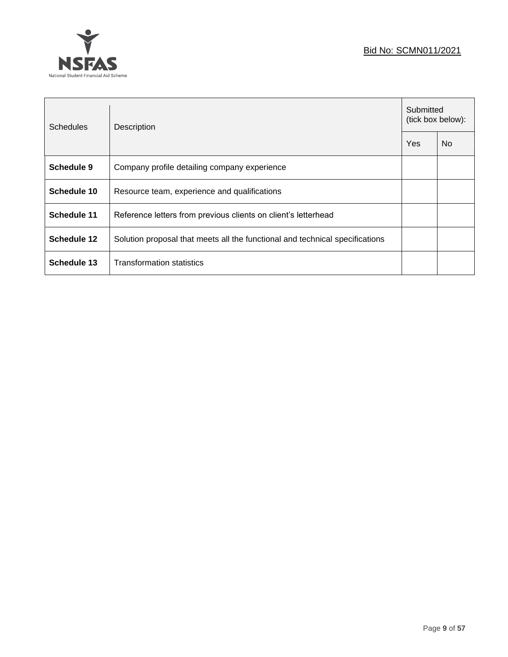## Bid No: SCMN011/2021



| <b>Schedules</b> | Description                                                                  |     | Submitted<br>(tick box below): |  |
|------------------|------------------------------------------------------------------------------|-----|--------------------------------|--|
|                  |                                                                              | Yes | <b>No</b>                      |  |
| Schedule 9       | Company profile detailing company experience                                 |     |                                |  |
| Schedule 10      | Resource team, experience and qualifications                                 |     |                                |  |
| Schedule 11      | Reference letters from previous clients on client's letterhead               |     |                                |  |
| Schedule 12      | Solution proposal that meets all the functional and technical specifications |     |                                |  |
| Schedule 13      | <b>Transformation statistics</b>                                             |     |                                |  |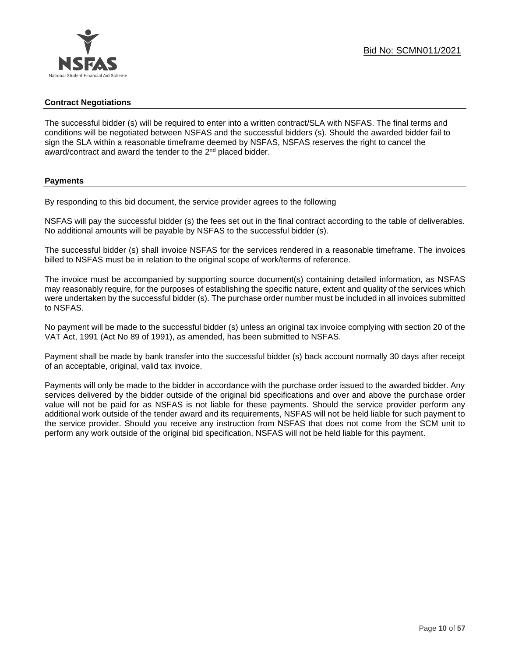## **Contract Negotiations**

The successful bidder (s) will be required to enter into a written contract/SLA with NSFAS. The final terms and conditions will be negotiated between NSFAS and the successful bidders (s). Should the awarded bidder fail to sign the SLA within a reasonable timeframe deemed by NSFAS, NSFAS reserves the right to cancel the award/contract and award the tender to the 2<sup>nd</sup> placed bidder.

#### **Payments**

By responding to this bid document, the service provider agrees to the following

NSFAS will pay the successful bidder (s) the fees set out in the final contract according to the table of deliverables. No additional amounts will be payable by NSFAS to the successful bidder (s).

The successful bidder (s) shall invoice NSFAS for the services rendered in a reasonable timeframe. The invoices billed to NSFAS must be in relation to the original scope of work/terms of reference.

The invoice must be accompanied by supporting source document(s) containing detailed information, as NSFAS may reasonably require, for the purposes of establishing the specific nature, extent and quality of the services which were undertaken by the successful bidder (s). The purchase order number must be included in all invoices submitted to NSFAS.

No payment will be made to the successful bidder (s) unless an original tax invoice complying with section 20 of the VAT Act, 1991 (Act No 89 of 1991), as amended, has been submitted to NSFAS.

Payment shall be made by bank transfer into the successful bidder (s) back account normally 30 days after receipt of an acceptable, original, valid tax invoice.

Payments will only be made to the bidder in accordance with the purchase order issued to the awarded bidder. Any services delivered by the bidder outside of the original bid specifications and over and above the purchase order value will not be paid for as NSFAS is not liable for these payments. Should the service provider perform any additional work outside of the tender award and its requirements, NSFAS will not be held liable for such payment to the service provider. Should you receive any instruction from NSFAS that does not come from the SCM unit to perform any work outside of the original bid specification, NSFAS will not be held liable for this payment.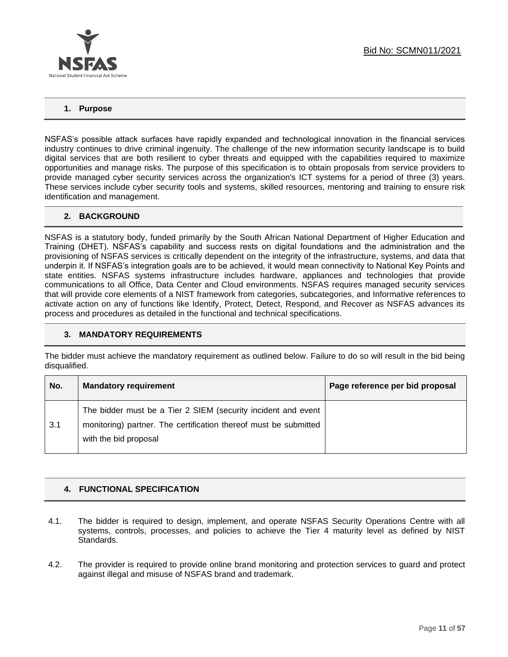

## **1. Purpose**

NSFAS's possible attack surfaces have rapidly expanded and technological innovation in the financial services industry continues to drive criminal ingenuity. The challenge of the new information security landscape is to build digital services that are both resilient to cyber threats and equipped with the capabilities required to maximize opportunities and manage risks. The purpose of this specification is to obtain proposals from service providers to provide managed cyber security services across the organization's ICT systems for a period of three (3) years. These services include cyber security tools and systems, skilled resources, mentoring and training to ensure risk identification and management.

## **2. BACKGROUND**

NSFAS is a statutory body, funded primarily by the South African National Department of Higher Education and Training (DHET). NSFAS's capability and success rests on digital foundations and the administration and the provisioning of NSFAS services is critically dependent on the integrity of the infrastructure, systems, and data that underpin it. If NSFAS's integration goals are to be achieved, it would mean connectivity to National Key Points and state entities. NSFAS systems infrastructure includes hardware, appliances and technologies that provide communications to all Office, Data Center and Cloud environments. NSFAS requires managed security services that will provide core elements of a NIST framework from categories, subcategories, and Informative references to activate action on any of functions like Identify, Protect, Detect, Respond, and Recover as NSFAS advances its process and procedures as detailed in the functional and technical specifications.

## **3. MANDATORY REQUIREMENTS**

The bidder must achieve the mandatory requirement as outlined below. Failure to do so will result in the bid being disqualified.

| No. | <b>Mandatory requirement</b>                                                                                                                               | Page reference per bid proposal |
|-----|------------------------------------------------------------------------------------------------------------------------------------------------------------|---------------------------------|
| 3.1 | The bidder must be a Tier 2 SIEM (security incident and event<br>monitoring) partner. The certification thereof must be submitted<br>with the bid proposal |                                 |

## **4. FUNCTIONAL SPECIFICATION**

- 4.1. The bidder is required to design, implement, and operate NSFAS Security Operations Centre with all systems, controls, processes, and policies to achieve the Tier 4 maturity level as defined by NIST Standards.
- 4.2. The provider is required to provide online brand monitoring and protection services to guard and protect against illegal and misuse of NSFAS brand and trademark.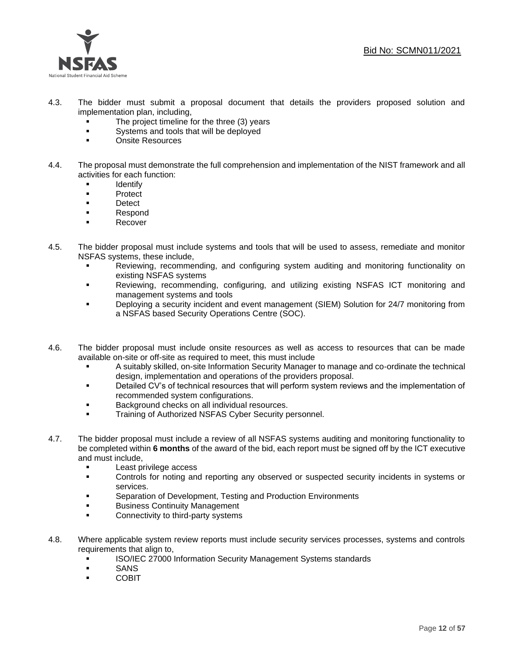

- 4.3. The bidder must submit a proposal document that details the providers proposed solution and implementation plan, including,
	- The project timeline for the three (3) years
	- **•** Systems and tools that will be deployed
	- Onsite Resources
- 4.4. The proposal must demonstrate the full comprehension and implementation of the NIST framework and all activities for each function:
	- Identify
	- Protect
	- Detect
	- Respond
	- **Recover**
- 4.5. The bidder proposal must include systems and tools that will be used to assess, remediate and monitor NSFAS systems, these include,
	- Reviewing, recommending, and configuring system auditing and monitoring functionality on existing NSFAS systems
	- Reviewing, recommending, configuring, and utilizing existing NSFAS ICT monitoring and management systems and tools
	- **•** Deploying a security incident and event management (SIEM) Solution for 24/7 monitoring from a NSFAS based Security Operations Centre (SOC).
- 4.6. The bidder proposal must include onsite resources as well as access to resources that can be made available on-site or off-site as required to meet, this must include
	- A suitably skilled, on-site Information Security Manager to manage and co-ordinate the technical design, implementation and operations of the providers proposal.
	- Detailed CV's of technical resources that will perform system reviews and the implementation of recommended system configurations.
	- Background checks on all individual resources.
	- **Training of Authorized NSFAS Cyber Security personnel.**
- 4.7. The bidder proposal must include a review of all NSFAS systems auditing and monitoring functionality to be completed within **6 months** of the award of the bid, each report must be signed off by the ICT executive and must include,
	- Least privilege access
	- Controls for noting and reporting any observed or suspected security incidents in systems or services.
	- Separation of Development, Testing and Production Environments
	- Business Continuity Management
	- **Connectivity to third-party systems**
- 4.8. Where applicable system review reports must include security services processes, systems and controls requirements that align to,
	- **ISO/IEC 27000 Information Security Management Systems standards**
	- SANS
	- **COBIT**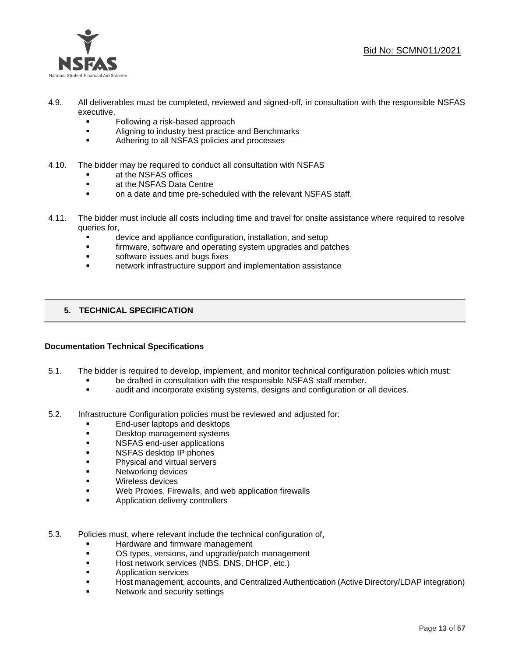

- 4.9. All deliverables must be completed, reviewed and signed-off, in consultation with the responsible NSFAS executive,
	- Following a risk-based approach
	- **■** Aligning to industry best practice and Benchmarks
	- Adhering to all NSFAS policies and processes
- 4.10. The bidder may be required to conduct all consultation with NSFAS
	- at the NSFAS offices
	- at the NSFAS Data Centre
	- **•** on a date and time pre-scheduled with the relevant NSFAS staff.
- 4.11. The bidder must include all costs including time and travel for onsite assistance where required to resolve queries for,
	- device and appliance configuration, installation, and setup
	- **•** firmware, software and operating system upgrades and patches
	- software issues and bugs fixes
	- network infrastructure support and implementation assistance

## **5. TECHNICAL SPECIFICATION**

## **Documentation Technical Specifications**

- 5.1. The bidder is required to develop, implement, and monitor technical configuration policies which must:
	- be drafted in consultation with the responsible NSFAS staff member.
	- audit and incorporate existing systems, designs and configuration or all devices.
- 5.2. Infrastructure Configuration policies must be reviewed and adjusted for:
	- End-user laptops and desktops
	- Desktop management systems
	- NSFAS end-user applications
	- **NSFAS desktop IP phones**
	- Physical and virtual servers
	- Networking devices
	- Wireless devices
	- Web Proxies, Firewalls, and web application firewalls
	- **■** Application delivery controllers
- 5.3. Policies must, where relevant include the technical configuration of,
	- **■** Hardware and firmware management
	- **OS types, versions, and upgrade/patch management**
	- Host network services (NBS, DNS, DHCP, etc.)
	- Application services
	- **EXECT:** Host management, accounts, and Centralized Authentication (Active Directory/LDAP integration)
	- Network and security settings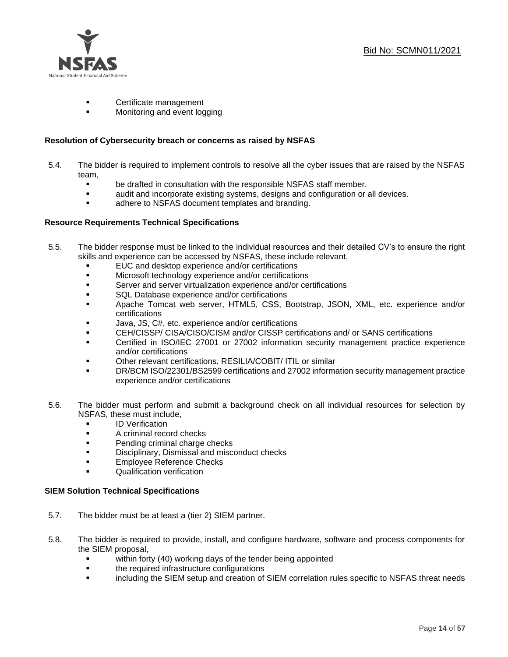

- Certificate management
- Monitoring and event logging

#### **Resolution of Cybersecurity breach or concerns as raised by NSFAS**

- 5.4. The bidder is required to implement controls to resolve all the cyber issues that are raised by the NSFAS team,
	- be drafted in consultation with the responsible NSFAS staff member.
	- audit and incorporate existing systems, designs and configuration or all devices.
	- **■** adhere to NSFAS document templates and branding.

## **Resource Requirements Technical Specifications**

- 5.5. The bidder response must be linked to the individual resources and their detailed CV's to ensure the right skills and experience can be accessed by NSFAS, these include relevant,
	- EUC and desktop experience and/or certifications
	- **■** Microsoft technology experience and/or certifications
	- Server and server virtualization experience and/or certifications
	- SQL Database experience and/or certifications
	- Apache Tomcat web server, HTML5, CSS, Bootstrap, JSON, XML, etc. experience and/or certifications
	- Java, JS, C#, etc. experience and/or certifications
	- CEH/CISSP/ CISA/CISO/CISM and/or CISSP certifications and/ or SANS certifications
	- Certified in ISO/IEC 27001 or 27002 information security management practice experience and/or certifications
	- Other relevant certifications, RESILIA/COBIT/ ITIL or similar
	- DR/BCM ISO/22301/BS2599 certifications and 27002 information security management practice experience and/or certifications
- 5.6. The bidder must perform and submit a background check on all individual resources for selection by NSFAS, these must include,
	- ID Verification
	- A criminal record checks
	- **•** Pending criminal charge checks
	- **■** Disciplinary, Dismissal and misconduct checks
	- **Employee Reference Checks**
	- Qualification verification

#### **SIEM Solution Technical Specifications**

- 5.7. The bidder must be at least a (tier 2) SIEM partner.
- 5.8. The bidder is required to provide, install, and configure hardware, software and process components for the SIEM proposal,
	- within forty (40) working days of the tender being appointed
	- **•** the required infrastructure configurations
	- including the SIEM setup and creation of SIEM correlation rules specific to NSFAS threat needs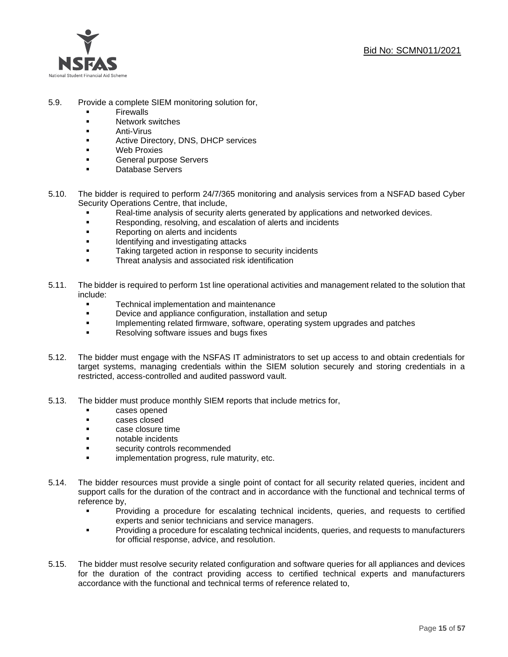

- 5.9. Provide a complete SIEM monitoring solution for,
	- **Firewalls**
	- Network switches
	- **Anti-Virus**
	- Active Directory, DNS, DHCP services
	- Web Proxies
	- General purpose Servers
	- Database Servers
- 5.10. The bidder is required to perform 24/7/365 monitoring and analysis services from a NSFAD based Cyber Security Operations Centre, that include,
	- Real-time analysis of security alerts generated by applications and networked devices.
	- Responding, resolving, and escalation of alerts and incidents
	- Reporting on alerts and incidents
	- **■** Identifying and investigating attacks
	- Taking targeted action in response to security incidents
	- **EXECUTE:** Threat analysis and associated risk identification
- 5.11. The bidder is required to perform 1st line operational activities and management related to the solution that include:
	- Technical implementation and maintenance
	- Device and appliance configuration, installation and setup
	- Implementing related firmware, software, operating system upgrades and patches
	- Resolving software issues and bugs fixes
- 5.12. The bidder must engage with the NSFAS IT administrators to set up access to and obtain credentials for target systems, managing credentials within the SIEM solution securely and storing credentials in a restricted, access-controlled and audited password vault.
- 5.13. The bidder must produce monthly SIEM reports that include metrics for,
	- cases opened
	- cases closed
	- case closure time
	- notable incidents
	- security controls recommended
	- **•** implementation progress, rule maturity, etc.
- 5.14. The bidder resources must provide a single point of contact for all security related queries, incident and support calls for the duration of the contract and in accordance with the functional and technical terms of reference by,
	- Providing a procedure for escalating technical incidents, queries, and requests to certified experts and senior technicians and service managers.
	- Providing a procedure for escalating technical incidents, queries, and requests to manufacturers for official response, advice, and resolution.
- 5.15. The bidder must resolve security related configuration and software queries for all appliances and devices for the duration of the contract providing access to certified technical experts and manufacturers accordance with the functional and technical terms of reference related to,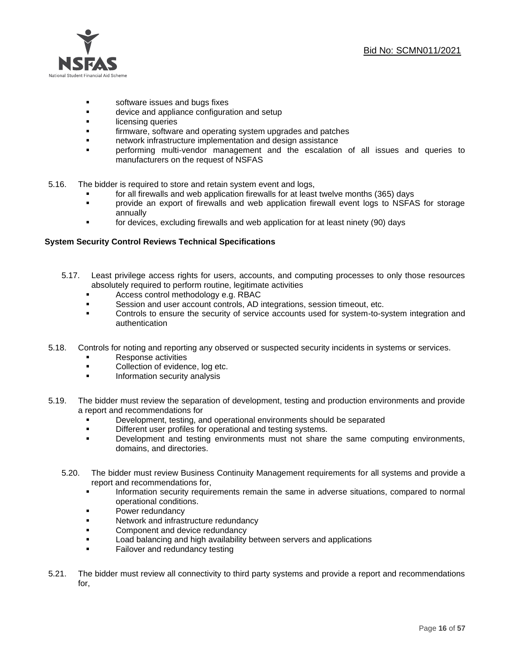

- software issues and bugs fixes
- **■** device and appliance configuration and setup
- **■** licensing queries
- **•** firmware, software and operating system upgrades and patches
- **■** network infrastructure implementation and design assistance
- performing multi-vendor management and the escalation of all issues and queries to manufacturers on the request of NSFAS
- 5.16. The bidder is required to store and retain system event and logs,
	- **•** for all firewalls and web application firewalls for at least twelve months (365) days
	- provide an export of firewalls and web application firewall event logs to NSFAS for storage annually
	- for devices, excluding firewalls and web application for at least ninety (90) days

## **System Security Control Reviews Technical Specifications**

- 5.17. Least privilege access rights for users, accounts, and computing processes to only those resources absolutely required to perform routine, legitimate activities
	- Access control methodology e.g. RBAC
	- Session and user account controls, AD integrations, session timeout, etc.
	- **•** Controls to ensure the security of service accounts used for system-to-system integration and authentication
- 5.18. Controls for noting and reporting any observed or suspected security incidents in systems or services.
	- **Response activities**
	- Collection of evidence, log etc.
	- Information security analysis
- 5.19. The bidder must review the separation of development, testing and production environments and provide a report and recommendations for
	- Development, testing, and operational environments should be separated
	- **•** Different user profiles for operational and testing systems.
	- Development and testing environments must not share the same computing environments, domains, and directories.
	- 5.20. The bidder must review Business Continuity Management requirements for all systems and provide a report and recommendations for,
		- Information security requirements remain the same in adverse situations, compared to normal operational conditions.
		- **■** Power redundancy
		- **■** Network and infrastructure redundancy
		- Component and device redundancy
		- **■** Load balancing and high availability between servers and applications
		- **•** Failover and redundancy testing
- 5.21. The bidder must review all connectivity to third party systems and provide a report and recommendations for,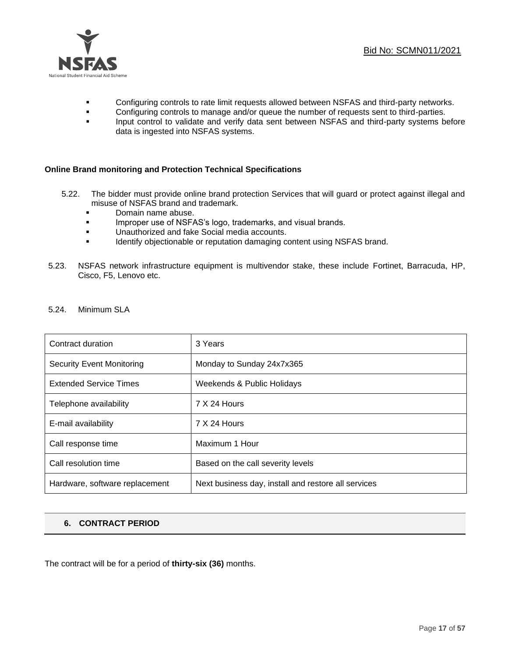

- **Configuring controls to rate limit requests allowed between NSFAS and third-party networks.**
- Configuring controls to manage and/or queue the number of requests sent to third-parties.
- **Input control to validate and verify data sent between NSFAS and third-party systems before** data is ingested into NSFAS systems.

## **Online Brand monitoring and Protection Technical Specifications**

- 5.22. The bidder must provide online brand protection Services that will guard or protect against illegal and misuse of NSFAS brand and trademark.
	- Domain name abuse.
	- **■** Improper use of NSFAS's logo, trademarks, and visual brands.
	- Unauthorized and fake Social media accounts.
	- **■** Identify objectionable or reputation damaging content using NSFAS brand.
- 5.23. NSFAS network infrastructure equipment is multivendor stake, these include Fortinet, Barracuda, HP, Cisco, F5, Lenovo etc.
- 5.24. Minimum SLA

| Contract duration              | 3 Years                                             |
|--------------------------------|-----------------------------------------------------|
| Security Event Monitoring      | Monday to Sunday 24x7x365                           |
| <b>Extended Service Times</b>  | Weekends & Public Holidays                          |
| Telephone availability         | 7 X 24 Hours                                        |
| E-mail availability            | 7 X 24 Hours                                        |
| Call response time             | Maximum 1 Hour                                      |
| Call resolution time           | Based on the call severity levels                   |
| Hardware, software replacement | Next business day, install and restore all services |

## **6. CONTRACT PERIOD**

The contract will be for a period of **thirty-six (36)** months.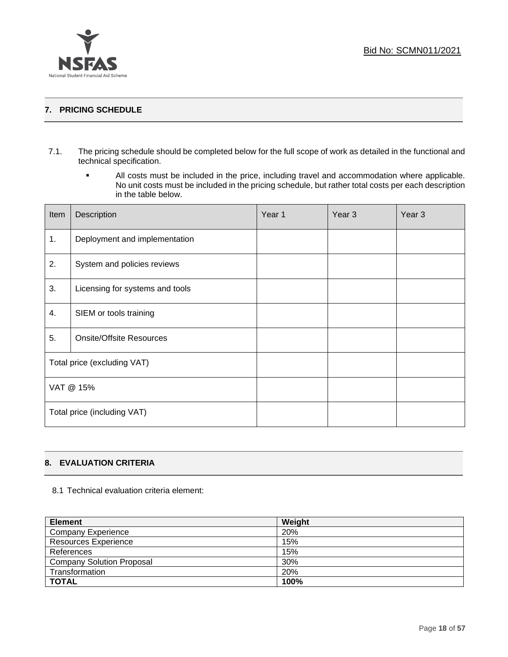

## **7. PRICING SCHEDULE**

- 7.1. The pricing schedule should be completed below for the full scope of work as detailed in the functional and technical specification.
	- All costs must be included in the price, including travel and accommodation where applicable. No unit costs must be included in the pricing schedule, but rather total costs per each description in the table below.

| Item      | Description                     | Year 1 | Year <sub>3</sub> | Year <sub>3</sub> |
|-----------|---------------------------------|--------|-------------------|-------------------|
| 1.        | Deployment and implementation   |        |                   |                   |
| 2.        | System and policies reviews     |        |                   |                   |
| 3.        | Licensing for systems and tools |        |                   |                   |
| 4.        | SIEM or tools training          |        |                   |                   |
| 5.        | <b>Onsite/Offsite Resources</b> |        |                   |                   |
|           | Total price (excluding VAT)     |        |                   |                   |
| VAT @ 15% |                                 |        |                   |                   |
|           | Total price (including VAT)     |        |                   |                   |

## **8. EVALUATION CRITERIA**

8.1 Technical evaluation criteria element:

| <b>Element</b>                   | Weight |
|----------------------------------|--------|
| <b>Company Experience</b>        | 20%    |
| <b>Resources Experience</b>      | 15%    |
| References                       | 15%    |
| <b>Company Solution Proposal</b> | 30%    |
| Transformation                   | 20%    |
| <b>TOTAL</b>                     | 100%   |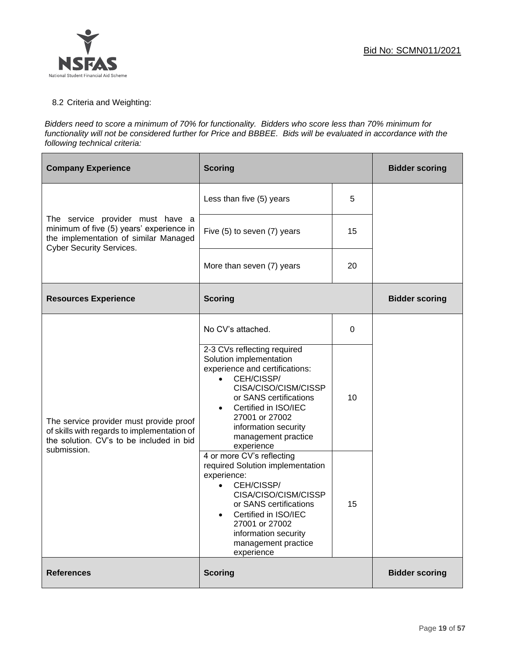

## 8.2 Criteria and Weighting:

#### *Bidders need to score a minimum of 70% for functionality. Bidders who score less than 70% minimum for functionality will not be considered further for Price and BBBEE. Bids will be evaluated in accordance with the following technical criteria:*

| <b>Company Experience</b>                                                                                                                                | <b>Scoring</b>                                                                                                                                                                                                                                                   |    | <b>Bidder scoring</b> |
|----------------------------------------------------------------------------------------------------------------------------------------------------------|------------------------------------------------------------------------------------------------------------------------------------------------------------------------------------------------------------------------------------------------------------------|----|-----------------------|
|                                                                                                                                                          | Less than five (5) years                                                                                                                                                                                                                                         | 5  |                       |
| The service provider must have a<br>minimum of five (5) years' experience in<br>the implementation of similar Managed<br><b>Cyber Security Services.</b> | Five (5) to seven (7) years                                                                                                                                                                                                                                      | 15 |                       |
|                                                                                                                                                          | More than seven (7) years                                                                                                                                                                                                                                        | 20 |                       |
| <b>Resources Experience</b>                                                                                                                              | <b>Scoring</b>                                                                                                                                                                                                                                                   |    | <b>Bidder scoring</b> |
|                                                                                                                                                          | No CV's attached.                                                                                                                                                                                                                                                | 0  |                       |
| The service provider must provide proof<br>of skills with regards to implementation of<br>the solution. CV's to be included in bid                       | 2-3 CVs reflecting required<br>Solution implementation<br>experience and certifications:<br>CEH/CISSP/<br>CISA/CISO/CISM/CISSP<br>or SANS certifications<br>Certified in ISO/IEC<br>27001 or 27002<br>information security<br>management practice<br>experience  | 10 |                       |
| submission.                                                                                                                                              | 4 or more CV's reflecting<br>required Solution implementation<br>experience:<br>CEH/CISSP/<br>$\bullet$<br>CISA/CISO/CISM/CISSP<br>or SANS certifications<br>Certified in ISO/IEC<br>27001 or 27002<br>information security<br>management practice<br>experience | 15 |                       |
| <b>References</b>                                                                                                                                        | <b>Scoring</b>                                                                                                                                                                                                                                                   |    | <b>Bidder scoring</b> |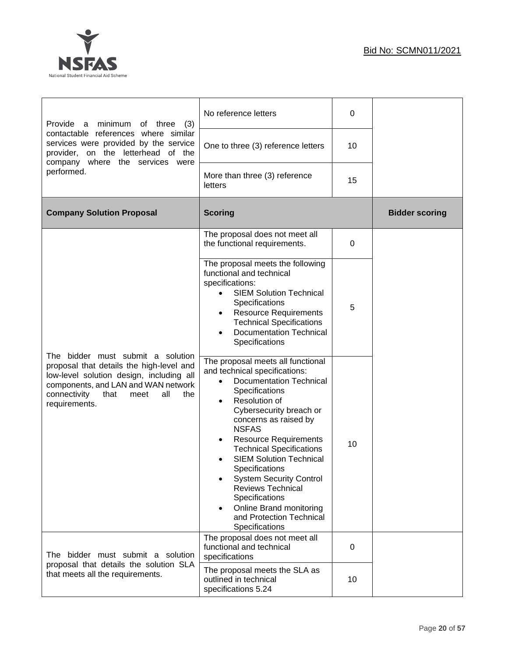

 $\mathbf{r}$ 

| Provide<br>minimum<br>a<br>of three<br>(3)                                                                                                                                                                                      | No reference letters                                                                                                                                                                                                                                                                                                                                                                                                                                                                              | 0  |                       |
|---------------------------------------------------------------------------------------------------------------------------------------------------------------------------------------------------------------------------------|---------------------------------------------------------------------------------------------------------------------------------------------------------------------------------------------------------------------------------------------------------------------------------------------------------------------------------------------------------------------------------------------------------------------------------------------------------------------------------------------------|----|-----------------------|
| contactable references where similar<br>services were provided by the service<br>provider, on the letterhead of the                                                                                                             | One to three (3) reference letters                                                                                                                                                                                                                                                                                                                                                                                                                                                                | 10 |                       |
| company where the services were<br>performed.                                                                                                                                                                                   | More than three (3) reference<br>letters                                                                                                                                                                                                                                                                                                                                                                                                                                                          | 15 |                       |
| <b>Company Solution Proposal</b>                                                                                                                                                                                                | <b>Scoring</b>                                                                                                                                                                                                                                                                                                                                                                                                                                                                                    |    | <b>Bidder scoring</b> |
|                                                                                                                                                                                                                                 | The proposal does not meet all<br>the functional requirements.                                                                                                                                                                                                                                                                                                                                                                                                                                    | 0  |                       |
|                                                                                                                                                                                                                                 | The proposal meets the following<br>functional and technical<br>specifications:<br><b>SIEM Solution Technical</b><br>Specifications<br><b>Resource Requirements</b><br>$\bullet$<br><b>Technical Specifications</b><br><b>Documentation Technical</b><br>Specifications                                                                                                                                                                                                                           | 5  |                       |
| The bidder must submit a solution<br>proposal that details the high-level and<br>low-level solution design, including all<br>components, and LAN and WAN network<br>connectivity<br>that<br>all<br>meet<br>the<br>requirements. | The proposal meets all functional<br>and technical specifications:<br><b>Documentation Technical</b><br>Specifications<br>Resolution of<br>Cybersecurity breach or<br>concerns as raised by<br><b>NSFAS</b><br><b>Resource Requirements</b><br><b>Technical Specifications</b><br><b>SIEM Solution Technical</b><br>Specifications<br><b>System Security Control</b><br>Reviews Technical<br>Specifications<br>Online Brand monitoring<br>$\bullet$<br>and Protection Technical<br>Specifications | 10 |                       |
| The bidder must submit a solution                                                                                                                                                                                               | The proposal does not meet all<br>functional and technical<br>specifications                                                                                                                                                                                                                                                                                                                                                                                                                      | 0  |                       |
| proposal that details the solution SLA<br>that meets all the requirements.                                                                                                                                                      | The proposal meets the SLA as<br>outlined in technical<br>specifications 5.24                                                                                                                                                                                                                                                                                                                                                                                                                     | 10 |                       |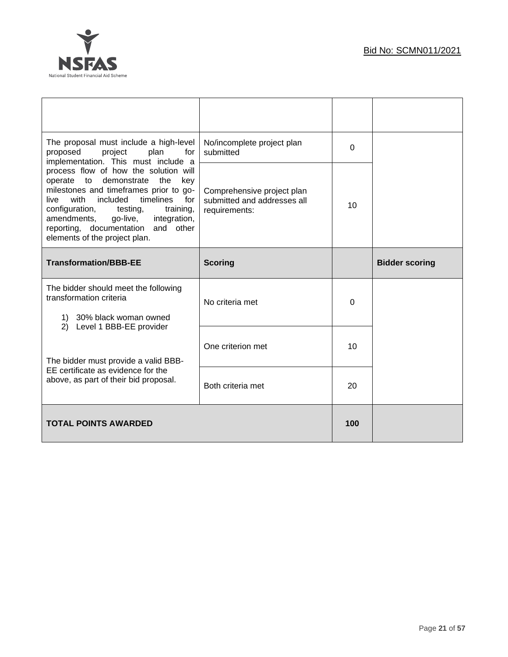

| The proposal must include a high-level<br>proposed<br>project<br>plan<br>for<br>implementation. This must include a                                                                                                                                                                                                                     | No/incomplete project plan<br>submitted                                    | $\overline{0}$ |                       |
|-----------------------------------------------------------------------------------------------------------------------------------------------------------------------------------------------------------------------------------------------------------------------------------------------------------------------------------------|----------------------------------------------------------------------------|----------------|-----------------------|
| process flow of how the solution will<br>operate<br>demonstrate<br>to<br>the<br>key<br>milestones and timeframes prior to go-<br>with<br>timelines<br>for<br>included<br>live<br>configuration, testing,<br>training,<br>integration,<br>amendments,<br>go-live,<br>reporting, documentation and other<br>elements of the project plan. | Comprehensive project plan<br>submitted and addresses all<br>requirements: | 10             |                       |
| <b>Transformation/BBB-EE</b>                                                                                                                                                                                                                                                                                                            | <b>Scoring</b>                                                             |                | <b>Bidder scoring</b> |
| The bidder should meet the following<br>transformation criteria                                                                                                                                                                                                                                                                         | No criteria met                                                            | $\Omega$       |                       |
| 1) 30% black woman owned<br>2) Level 1 BBB-EE provider                                                                                                                                                                                                                                                                                  |                                                                            |                |                       |
| The bidder must provide a valid BBB-                                                                                                                                                                                                                                                                                                    | One criterion met                                                          | 10             |                       |
| EE certificate as evidence for the                                                                                                                                                                                                                                                                                                      |                                                                            |                |                       |
| above, as part of their bid proposal.                                                                                                                                                                                                                                                                                                   | Both criteria met                                                          | 20             |                       |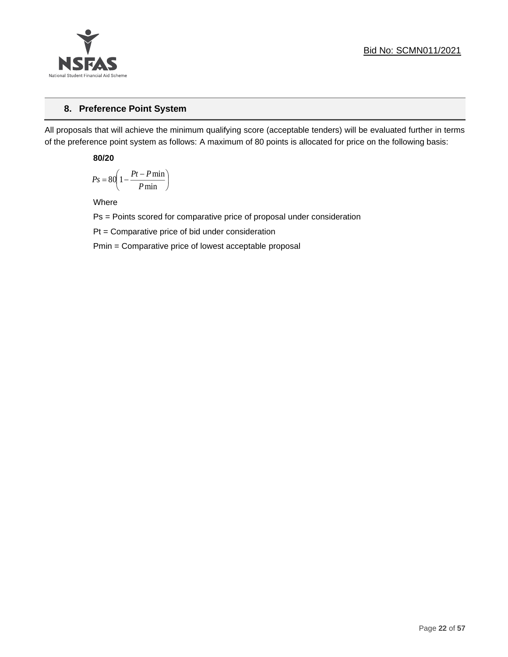

## **8. Preference Point System**

All proposals that will achieve the minimum qualifying score (acceptable tenders) will be evaluated further in terms of the preference point system as follows: A maximum of 80 points is allocated for price on the following basis:

**80/20**

$$
Ps = 80 \left( 1 - \frac{Pt - P \min}{P \min} \right)
$$

Where

Ps = Points scored for comparative price of proposal under consideration

Pt = Comparative price of bid under consideration

Pmin = Comparative price of lowest acceptable proposal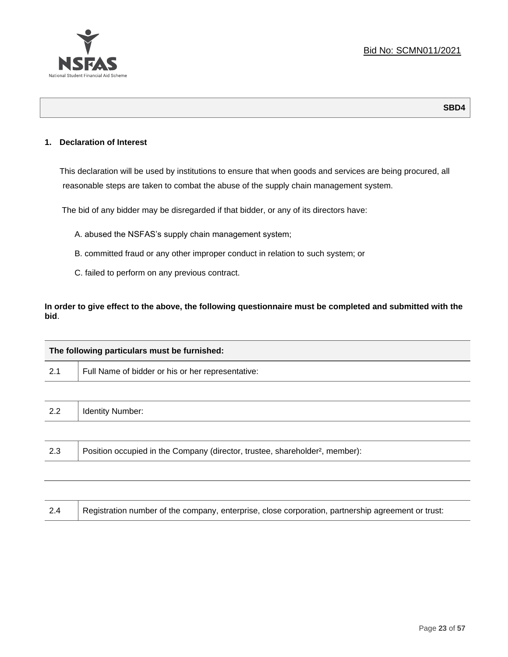

**SBD4**

## **1. Declaration of Interest**

This declaration will be used by institutions to ensure that when goods and services are being procured, all reasonable steps are taken to combat the abuse of the supply chain management system.

The bid of any bidder may be disregarded if that bidder, or any of its directors have:

- A. abused the NSFAS's supply chain management system;
- B. committed fraud or any other improper conduct in relation to such system; or
- C. failed to perform on any previous contract.

**In order to give effect to the above, the following questionnaire must be completed and submitted with the bid**.

| The following particulars must be furnished: |                                                                                          |  |  |
|----------------------------------------------|------------------------------------------------------------------------------------------|--|--|
| 2.1                                          | Full Name of bidder or his or her representative:                                        |  |  |
|                                              |                                                                                          |  |  |
| 2.2                                          | <b>Identity Number:</b>                                                                  |  |  |
|                                              |                                                                                          |  |  |
| 2.3                                          | Position occupied in the Company (director, trustee, shareholder <sup>2</sup> , member): |  |  |
|                                              |                                                                                          |  |  |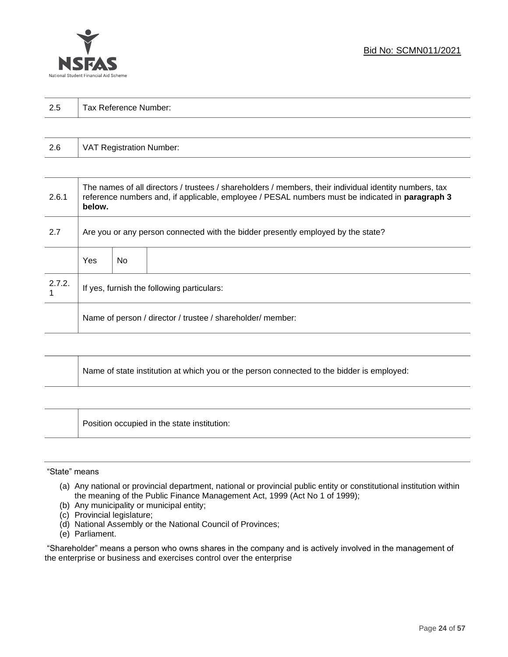

| 2.5 | $\mathbf{T}$<br>Tax Reference Number: |
|-----|---------------------------------------|
|     |                                       |

| 2.6 | VAT Registration Number: |
|-----|--------------------------|
|-----|--------------------------|

| 2.6.1  | The names of all directors / trustees / shareholders / members, their individual identity numbers, tax<br>reference numbers and, if applicable, employee / PESAL numbers must be indicated in paragraph 3<br>below. |     |  |  |  |
|--------|---------------------------------------------------------------------------------------------------------------------------------------------------------------------------------------------------------------------|-----|--|--|--|
| 2.7    | Are you or any person connected with the bidder presently employed by the state?                                                                                                                                    |     |  |  |  |
|        | Yes                                                                                                                                                                                                                 | No. |  |  |  |
| 2.7.2. | If yes, furnish the following particulars:                                                                                                                                                                          |     |  |  |  |
|        | Name of person / director / trustee / shareholder/ member:                                                                                                                                                          |     |  |  |  |

| Name of state institution at which you or the person connected to the bidder is employed: |
|-------------------------------------------------------------------------------------------|
|                                                                                           |

Position occupied in the state institution:

#### "State" means

Τ

- (a) Any national or provincial department, national or provincial public entity or constitutional institution within the meaning of the Public Finance Management Act, 1999 (Act No 1 of 1999);
- (b) Any municipality or municipal entity;
- (c) Provincial legislature;
- (d) National Assembly or the National Council of Provinces;
- (e) Parliament.

"Shareholder" means a person who owns shares in the company and is actively involved in the management of the enterprise or business and exercises control over the enterprise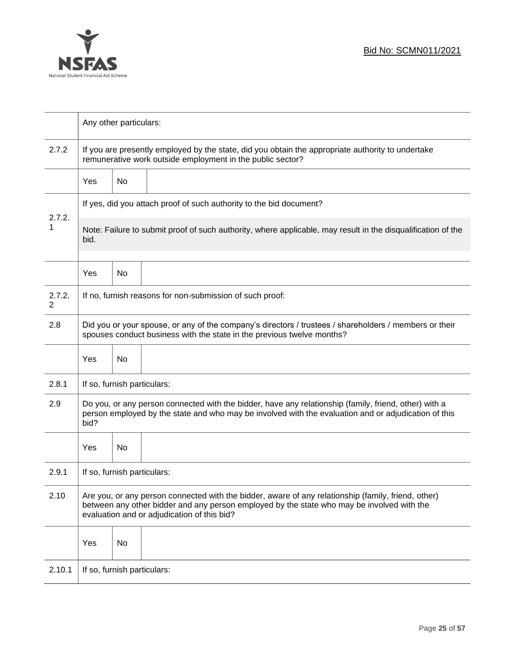

|                          | Any other particulars:                                                                                                                                                                                                                           |    |  |  |  |
|--------------------------|--------------------------------------------------------------------------------------------------------------------------------------------------------------------------------------------------------------------------------------------------|----|--|--|--|
| 2.7.2                    | If you are presently employed by the state, did you obtain the appropriate authority to undertake<br>remunerative work outside employment in the public sector?                                                                                  |    |  |  |  |
|                          | Yes                                                                                                                                                                                                                                              | No |  |  |  |
|                          | If yes, did you attach proof of such authority to the bid document?                                                                                                                                                                              |    |  |  |  |
| 2.7.2.<br>1              | Note: Failure to submit proof of such authority, where applicable, may result in the disqualification of the<br>bid.                                                                                                                             |    |  |  |  |
|                          | Yes                                                                                                                                                                                                                                              | No |  |  |  |
| 2.7.2.<br>$\overline{2}$ | If no, furnish reasons for non-submission of such proof:                                                                                                                                                                                         |    |  |  |  |
| 2.8                      | Did you or your spouse, or any of the company's directors / trustees / shareholders / members or their<br>spouses conduct business with the state in the previous twelve months?                                                                 |    |  |  |  |
|                          | Yes                                                                                                                                                                                                                                              | No |  |  |  |
| 2.8.1                    | If so, furnish particulars:                                                                                                                                                                                                                      |    |  |  |  |
| 2.9                      | Do you, or any person connected with the bidder, have any relationship (family, friend, other) with a<br>person employed by the state and who may be involved with the evaluation and or adjudication of this<br>bid?                            |    |  |  |  |
|                          | Yes                                                                                                                                                                                                                                              | No |  |  |  |
| 2.9.1                    | If so, furnish particulars:                                                                                                                                                                                                                      |    |  |  |  |
| 2.10                     | Are you, or any person connected with the bidder, aware of any relationship (family, friend, other)<br>between any other bidder and any person employed by the state who may be involved with the<br>evaluation and or adjudication of this bid? |    |  |  |  |
|                          | Yes                                                                                                                                                                                                                                              | No |  |  |  |
| 2.10.1                   | If so, furnish particulars:                                                                                                                                                                                                                      |    |  |  |  |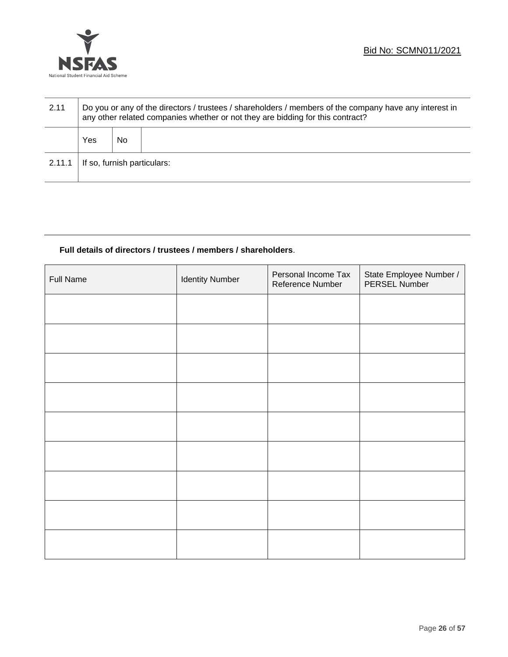

| 2.11   | Do you or any of the directors / trustees / shareholders / members of the company have any interest in<br>any other related companies whether or not they are bidding for this contract? |    |  |  |
|--------|------------------------------------------------------------------------------------------------------------------------------------------------------------------------------------------|----|--|--|
|        | Yes                                                                                                                                                                                      | No |  |  |
| 2.11.1 | If so, furnish particulars:                                                                                                                                                              |    |  |  |

## **Full details of directors / trustees / members / shareholders**.

| <b>Full Name</b> | <b>Identity Number</b> | Personal Income Tax<br>Reference Number | State Employee Number /<br>PERSEL Number |
|------------------|------------------------|-----------------------------------------|------------------------------------------|
|                  |                        |                                         |                                          |
|                  |                        |                                         |                                          |
|                  |                        |                                         |                                          |
|                  |                        |                                         |                                          |
|                  |                        |                                         |                                          |
|                  |                        |                                         |                                          |
|                  |                        |                                         |                                          |
|                  |                        |                                         |                                          |
|                  |                        |                                         |                                          |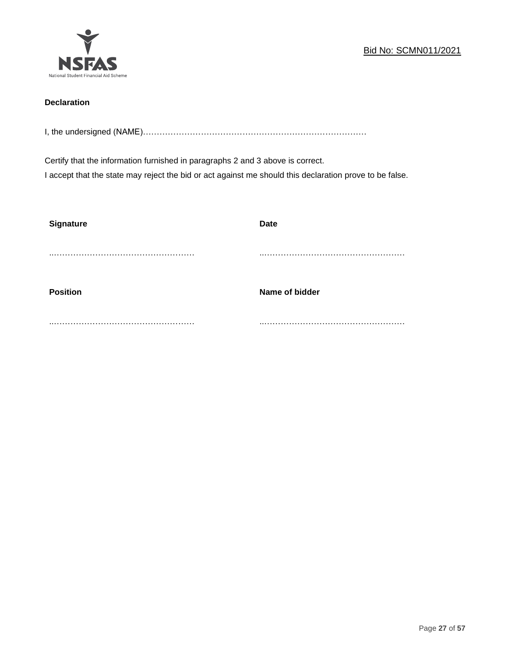

## **Declaration**

I, the undersigned (NAME)………………………………………………………………………

Certify that the information furnished in paragraphs 2 and 3 above is correct. I accept that the state may reject the bid or act against me should this declaration prove to be false.

| <b>Signature</b> | <b>Date</b>    |
|------------------|----------------|
|                  |                |
| <b>Position</b>  | Name of bidder |
|                  |                |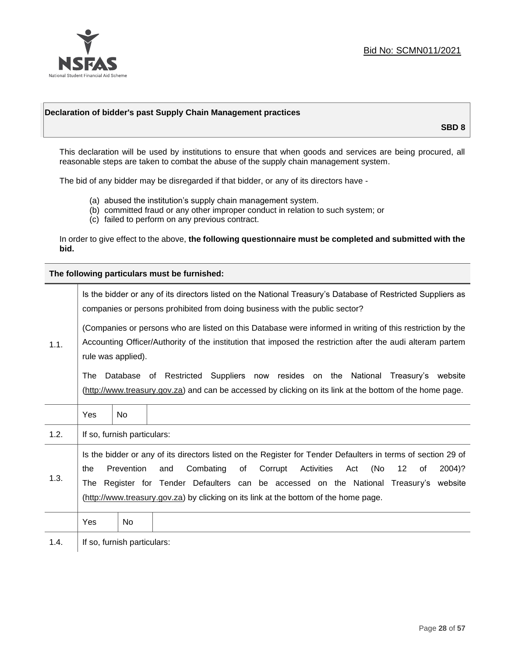

## **Declaration of bidder's past Supply Chain Management practices**

**SBD 8**

This declaration will be used by institutions to ensure that when goods and services are being procured, all reasonable steps are taken to combat the abuse of the supply chain management system.

The bid of any bidder may be disregarded if that bidder, or any of its directors have -

- (a) abused the institution's supply chain management system.
- (b) committed fraud or any other improper conduct in relation to such system; or
- (c) failed to perform on any previous contract.

In order to give effect to the above, **the following questionnaire must be completed and submitted with the bid.**

**The following particulars must be furnished:**

|      | Is the bidder or any of its directors listed on the National Treasury's Database of Restricted Suppliers as<br>companies or persons prohibited from doing business with the public sector?                                                                                                                                                                                                                                  |                             |  |  |
|------|-----------------------------------------------------------------------------------------------------------------------------------------------------------------------------------------------------------------------------------------------------------------------------------------------------------------------------------------------------------------------------------------------------------------------------|-----------------------------|--|--|
| 1.1. | (Companies or persons who are listed on this Database were informed in writing of this restriction by the<br>Accounting Officer/Authority of the institution that imposed the restriction after the audi alteram partem<br>rule was applied).                                                                                                                                                                               |                             |  |  |
|      | Database of Restricted Suppliers now resides on the National<br>The<br>Treasury's website<br>(http://www.treasury.gov.za) and can be accessed by clicking on its link at the bottom of the home page.                                                                                                                                                                                                                       |                             |  |  |
|      | Yes                                                                                                                                                                                                                                                                                                                                                                                                                         | No.                         |  |  |
| 1.2. |                                                                                                                                                                                                                                                                                                                                                                                                                             | If so, furnish particulars: |  |  |
| 1.3. | Is the bidder or any of its directors listed on the Register for Tender Defaulters in terms of section 29 of<br>Prevention<br>Combating<br>Corrupt<br>Activities<br>(No<br>$12 \overline{ }$<br>and<br>of<br>of<br>2004)?<br>the<br>Act<br>Register for Tender Defaulters can be accessed on the National Treasury's website<br>The<br>(http://www.treasury.gov.za) by clicking on its link at the bottom of the home page. |                             |  |  |
|      | Yes                                                                                                                                                                                                                                                                                                                                                                                                                         | No.                         |  |  |
| 1.4. |                                                                                                                                                                                                                                                                                                                                                                                                                             | If so, furnish particulars: |  |  |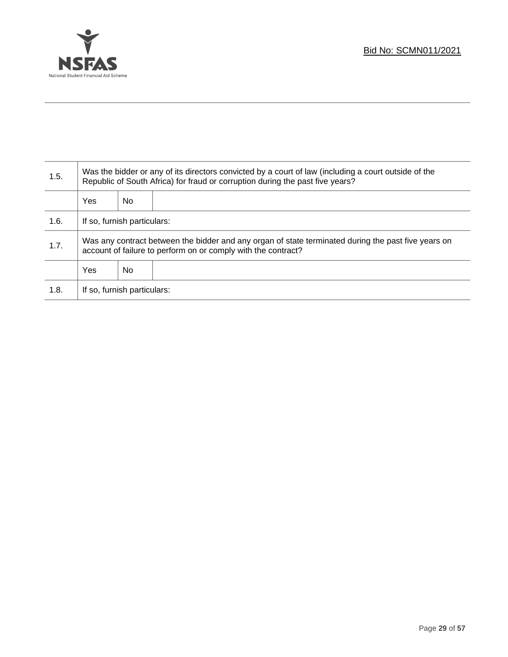

Τ

| 1.5. | Was the bidder or any of its directors convicted by a court of law (including a court outside of the<br>Republic of South Africa) for fraud or corruption during the past five years? |     |  |
|------|---------------------------------------------------------------------------------------------------------------------------------------------------------------------------------------|-----|--|
|      | Yes                                                                                                                                                                                   | No. |  |
| 1.6. | If so, furnish particulars:                                                                                                                                                           |     |  |
| 1.7. | Was any contract between the bidder and any organ of state terminated during the past five years on<br>account of failure to perform on or comply with the contract?                  |     |  |
|      | Yes                                                                                                                                                                                   | No. |  |
| 1.8. | If so, furnish particulars:                                                                                                                                                           |     |  |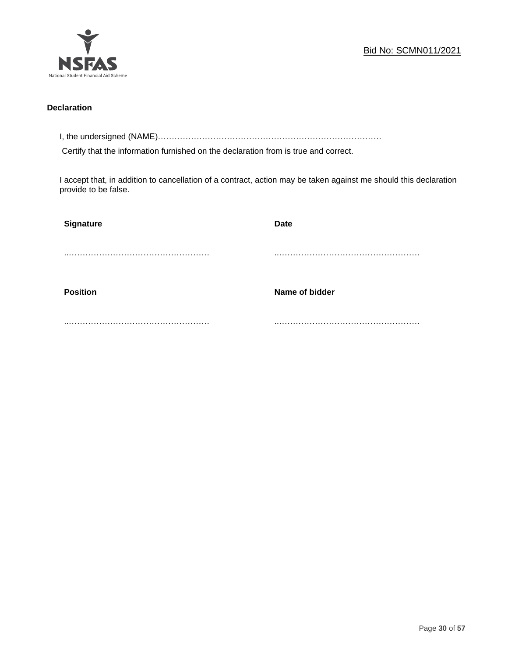

## **Declaration**

I, the undersigned (NAME)………………………………………………………………………

Certify that the information furnished on the declaration from is true and correct.

I accept that, in addition to cancellation of a contract, action may be taken against me should this declaration provide to be false.

| Signature       | Date           |
|-----------------|----------------|
|                 |                |
|                 |                |
| <b>Position</b> | Name of bidder |
|                 |                |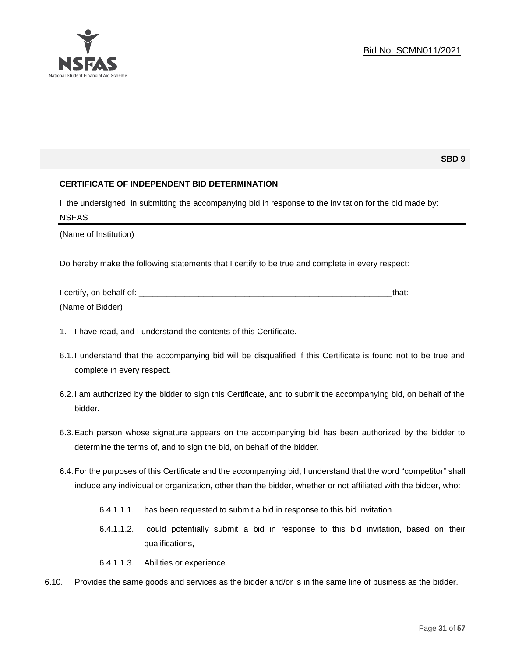## **SBD 9**

## **CERTIFICATE OF INDEPENDENT BID DETERMINATION**

I, the undersigned, in submitting the accompanying bid in response to the invitation for the bid made by: NSFAS

(Name of Institution)

Do hereby make the following statements that I certify to be true and complete in every respect:

| I certify, on behalf of: |  |
|--------------------------|--|
| (Name of Bidder)         |  |

- 1. I have read, and I understand the contents of this Certificate.
- 6.1.I understand that the accompanying bid will be disqualified if this Certificate is found not to be true and complete in every respect.
- 6.2.I am authorized by the bidder to sign this Certificate, and to submit the accompanying bid, on behalf of the bidder.
- 6.3.Each person whose signature appears on the accompanying bid has been authorized by the bidder to determine the terms of, and to sign the bid, on behalf of the bidder.
- 6.4.For the purposes of this Certificate and the accompanying bid, I understand that the word "competitor" shall include any individual or organization, other than the bidder, whether or not affiliated with the bidder, who:
	- 6.4.1.1.1. has been requested to submit a bid in response to this bid invitation.
	- 6.4.1.1.2. could potentially submit a bid in response to this bid invitation, based on their qualifications,
	- 6.4.1.1.3. Abilities or experience.
- 6.10. Provides the same goods and services as the bidder and/or is in the same line of business as the bidder.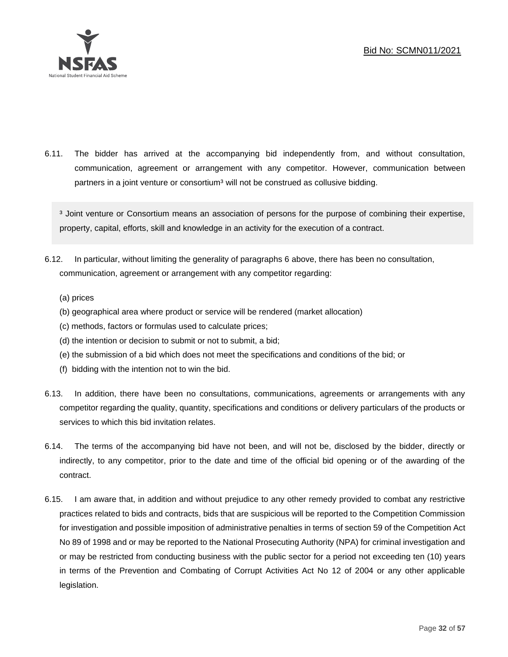

6.11. The bidder has arrived at the accompanying bid independently from, and without consultation, communication, agreement or arrangement with any competitor. However, communication between partners in a joint venture or consortium<sup>3</sup> will not be construed as collusive bidding.

<sup>3</sup> Joint venture or Consortium means an association of persons for the purpose of combining their expertise, property, capital, efforts, skill and knowledge in an activity for the execution of a contract.

- 6.12. In particular, without limiting the generality of paragraphs 6 above, there has been no consultation, communication, agreement or arrangement with any competitor regarding:
	- (a) prices
	- (b) geographical area where product or service will be rendered (market allocation)
	- (c) methods, factors or formulas used to calculate prices;
	- (d) the intention or decision to submit or not to submit, a bid;
	- (e) the submission of a bid which does not meet the specifications and conditions of the bid; or
	- (f) bidding with the intention not to win the bid.
- 6.13. In addition, there have been no consultations, communications, agreements or arrangements with any competitor regarding the quality, quantity, specifications and conditions or delivery particulars of the products or services to which this bid invitation relates.
- 6.14. The terms of the accompanying bid have not been, and will not be, disclosed by the bidder, directly or indirectly, to any competitor, prior to the date and time of the official bid opening or of the awarding of the contract.
- 6.15. I am aware that, in addition and without prejudice to any other remedy provided to combat any restrictive practices related to bids and contracts, bids that are suspicious will be reported to the Competition Commission for investigation and possible imposition of administrative penalties in terms of section 59 of the Competition Act No 89 of 1998 and or may be reported to the National Prosecuting Authority (NPA) for criminal investigation and or may be restricted from conducting business with the public sector for a period not exceeding ten (10) years in terms of the Prevention and Combating of Corrupt Activities Act No 12 of 2004 or any other applicable legislation.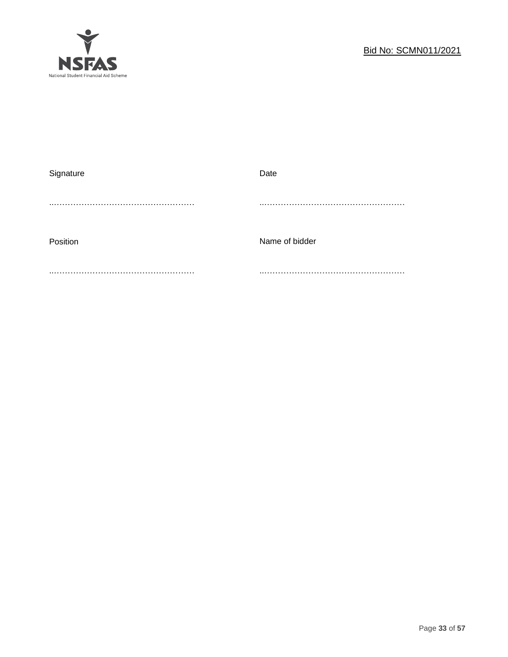

| Signature | Date           |
|-----------|----------------|
|           |                |
|           |                |
|           |                |
| Position  | Name of bidder |
|           |                |
|           |                |
|           |                |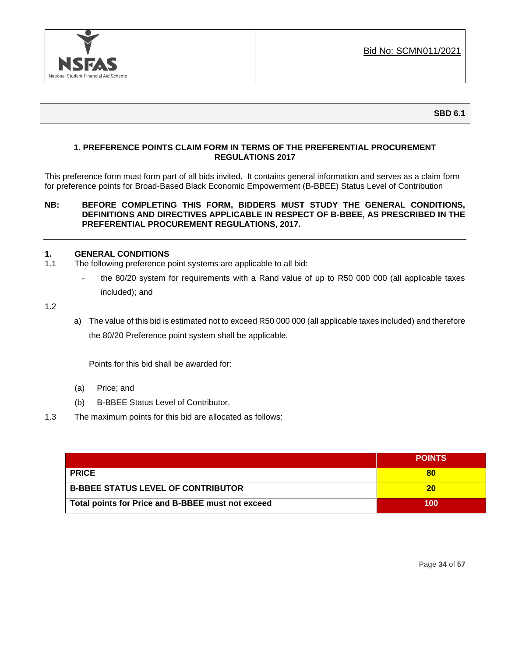

**SBD 6.1**

## **1. PREFERENCE POINTS CLAIM FORM IN TERMS OF THE PREFERENTIAL PROCUREMENT REGULATIONS 2017**

This preference form must form part of all bids invited. It contains general information and serves as a claim form for preference points for Broad-Based Black Economic Empowerment (B-BBEE) Status Level of Contribution

## **NB: BEFORE COMPLETING THIS FORM, BIDDERS MUST STUDY THE GENERAL CONDITIONS, DEFINITIONS AND DIRECTIVES APPLICABLE IN RESPECT OF B-BBEE, AS PRESCRIBED IN THE PREFERENTIAL PROCUREMENT REGULATIONS, 2017.**

## **1. GENERAL CONDITIONS**

- 1.1 The following preference point systems are applicable to all bid:
	- the 80/20 system for requirements with a Rand value of up to R50 000 000 (all applicable taxes included); and

1.2

a) The value of this bid is estimated not to exceed R50 000 000 (all applicable taxes included) and therefore the 80/20 Preference point system shall be applicable.

Points for this bid shall be awarded for:

- (a) Price; and
- (b) B-BBEE Status Level of Contributor.
- 1.3 The maximum points for this bid are allocated as follows:

|                                                   | <b>POINTS</b> |
|---------------------------------------------------|---------------|
| <b>PRICE</b>                                      | 80            |
| <b>B-BBEE STATUS LEVEL OF CONTRIBUTOR</b>         | 20            |
| Total points for Price and B-BBEE must not exceed | 100           |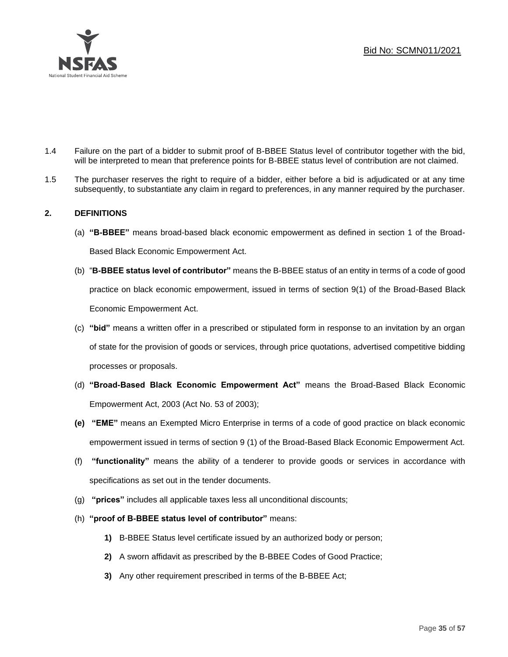

- 1.4 Failure on the part of a bidder to submit proof of B-BBEE Status level of contributor together with the bid, will be interpreted to mean that preference points for B-BBEE status level of contribution are not claimed.
- 1.5 The purchaser reserves the right to require of a bidder, either before a bid is adjudicated or at any time subsequently, to substantiate any claim in regard to preferences, in any manner required by the purchaser.

## **2. DEFINITIONS**

- (a) **"B-BBEE"** means broad-based black economic empowerment as defined in section 1 of the Broad-Based Black Economic Empowerment Act.
- (b) "**B-BBEE status level of contributor"** means the B-BBEE status of an entity in terms of a code of good practice on black economic empowerment, issued in terms of section 9(1) of the Broad-Based Black Economic Empowerment Act.
- (c) **"bid"** means a written offer in a prescribed or stipulated form in response to an invitation by an organ of state for the provision of goods or services, through price quotations, advertised competitive bidding processes or proposals.
- (d) **"Broad-Based Black Economic Empowerment Act"** means the Broad-Based Black Economic Empowerment Act, 2003 (Act No. 53 of 2003);
- **(e) "EME"** means an Exempted Micro Enterprise in terms of a code of good practice on black economic empowerment issued in terms of section 9 (1) of the Broad-Based Black Economic Empowerment Act.
- (f) **"functionality"** means the ability of a tenderer to provide goods or services in accordance with specifications as set out in the tender documents.
- (g) **"prices"** includes all applicable taxes less all unconditional discounts;
- (h) **"proof of B-BBEE status level of contributor"** means:
	- **1)** B-BBEE Status level certificate issued by an authorized body or person;
	- **2)** A sworn affidavit as prescribed by the B-BBEE Codes of Good Practice;
	- **3)** Any other requirement prescribed in terms of the B-BBEE Act;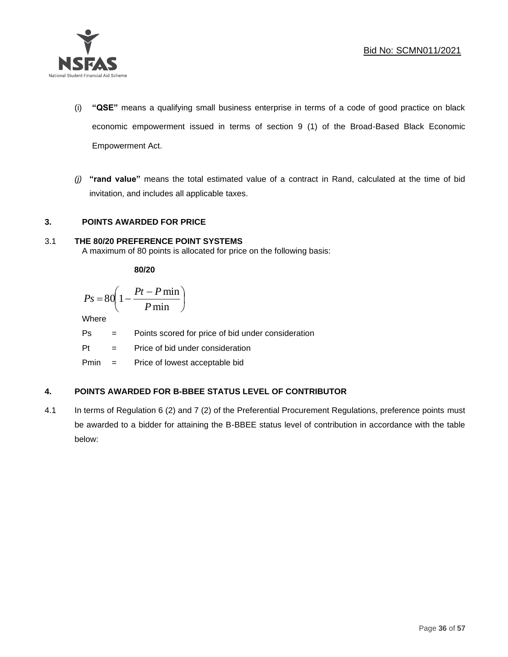

- (i) **"QSE"** means a qualifying small business enterprise in terms of a code of good practice on black economic empowerment issued in terms of section 9 (1) of the Broad-Based Black Economic Empowerment Act.
- *(j)* **"rand value"** means the total estimated value of a contract in Rand, calculated at the time of bid invitation, and includes all applicable taxes.

## **3. POINTS AWARDED FOR PRICE**

## 3.1 **THE 80/20 PREFERENCE POINT SYSTEMS**

A maximum of 80 points is allocated for price on the following basis:

**80/20**

$$
Ps = 80 \left( 1 - \frac{Pt - P \min}{P \min} \right)
$$

Where

Ps = Points scored for price of bid under consideration

l

Pt = Price of bid under consideration

Pmin = Price of lowest acceptable bid

## **4. POINTS AWARDED FOR B-BBEE STATUS LEVEL OF CONTRIBUTOR**

4.1 In terms of Regulation 6 (2) and 7 (2) of the Preferential Procurement Regulations, preference points must be awarded to a bidder for attaining the B-BBEE status level of contribution in accordance with the table below: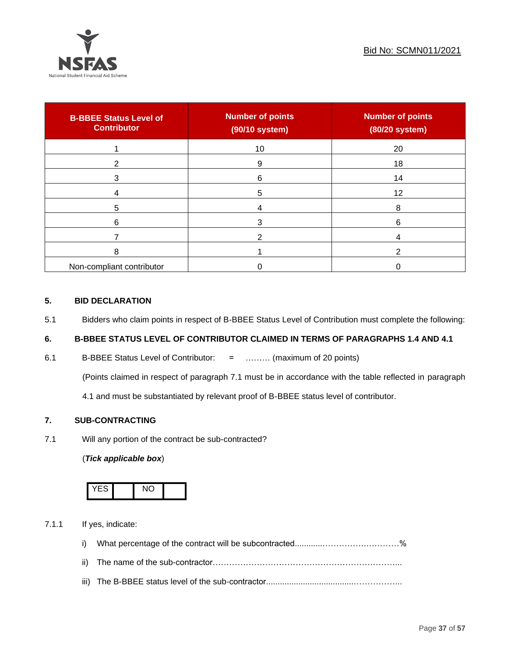

| <b>B-BBEE Status Level of</b><br><b>Contributor</b> | <b>Number of points</b><br>(90/10 system) | <b>Number of points</b><br>(80/20 system) |
|-----------------------------------------------------|-------------------------------------------|-------------------------------------------|
|                                                     | 10                                        | 20                                        |
| 2                                                   | 9                                         | 18                                        |
| 3                                                   | 6                                         | 14                                        |
|                                                     | 5                                         | 12                                        |
| 5                                                   |                                           | 8                                         |
| 6                                                   |                                           | 6                                         |
|                                                     |                                           |                                           |
| 8                                                   |                                           | ົ                                         |
| Non-compliant contributor                           |                                           |                                           |

## **5. BID DECLARATION**

5.1 Bidders who claim points in respect of B-BBEE Status Level of Contribution must complete the following:

## **6. B-BBEE STATUS LEVEL OF CONTRIBUTOR CLAIMED IN TERMS OF PARAGRAPHS 1.4 AND 4.1**

6.1 B-BBEE Status Level of Contributor: = ……… (maximum of 20 points)

(Points claimed in respect of paragraph 7.1 must be in accordance with the table reflected in paragraph

4.1 and must be substantiated by relevant proof of B-BBEE status level of contributor.

## **7. SUB-CONTRACTING**

7.1 Will any portion of the contract be sub-contracted?

## (*Tick applicable box*)



7.1.1 If yes, indicate:

- i) What percentage of the contract will be subcontracted............…………….…………%
- ii) The name of the sub-contractor…………………………………………………………...
- iii) The B-BBEE status level of the sub-contractor......................................……………...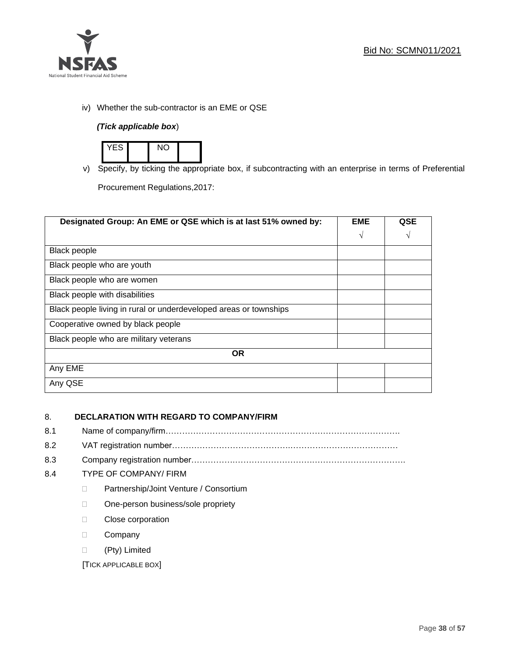

iv) Whether the sub-contractor is an EME or QSE

## *(Tick applicable box*)



v) Specify, by ticking the appropriate box, if subcontracting with an enterprise in terms of Preferential

Procurement Regulations,2017:

| Designated Group: An EME or QSE which is at last 51% owned by:    | <b>EME</b> | QSE |
|-------------------------------------------------------------------|------------|-----|
|                                                                   | $\sqrt{ }$ | V   |
| Black people                                                      |            |     |
| Black people who are youth                                        |            |     |
| Black people who are women                                        |            |     |
| Black people with disabilities                                    |            |     |
| Black people living in rural or underdeveloped areas or townships |            |     |
| Cooperative owned by black people                                 |            |     |
| Black people who are military veterans                            |            |     |
| <b>OR</b>                                                         |            |     |
| Any EME                                                           |            |     |
| Any QSE                                                           |            |     |

## 8. **DECLARATION WITH REGARD TO COMPANY/FIRM**

- 8.1 Name of company/firm………………………………………………………………………….
- 8.2 VAT registration number…………………………………….…………………………………
- 8.3 Company registration number…………….……………………….…………………………….

## 8.4 TYPE OF COMPANY/ FIRM

- D Partnership/Joint Venture / Consortium
- □ One-person business/sole propriety
- D Close corporation
- D Company
- (Pty) Limited

[TICK APPLICABLE BOX]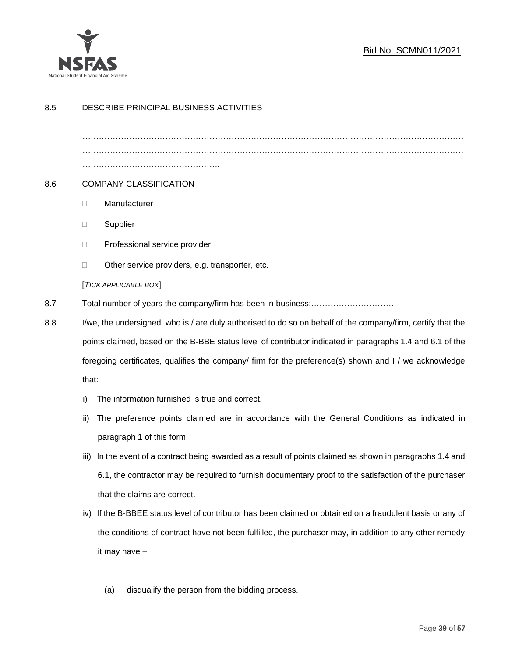

## Bid No: SCMN011/2021

| 8.5 | DESCRIBE PRINCIPAL BUSINESS ACTIVITIES                                                                       |                                                                                                           |  |  |
|-----|--------------------------------------------------------------------------------------------------------------|-----------------------------------------------------------------------------------------------------------|--|--|
|     |                                                                                                              |                                                                                                           |  |  |
|     |                                                                                                              |                                                                                                           |  |  |
|     |                                                                                                              |                                                                                                           |  |  |
| 8.6 | <b>COMPANY CLASSIFICATION</b>                                                                                |                                                                                                           |  |  |
|     |                                                                                                              |                                                                                                           |  |  |
|     | $\Box$                                                                                                       | Manufacturer                                                                                              |  |  |
|     | $\Box$                                                                                                       | Supplier                                                                                                  |  |  |
|     | $\Box$                                                                                                       | Professional service provider                                                                             |  |  |
|     | □                                                                                                            | Other service providers, e.g. transporter, etc.                                                           |  |  |
|     |                                                                                                              | [TICK APPLICABLE BOX]                                                                                     |  |  |
| 8.7 | Total number of years the company/firm has been in business:                                                 |                                                                                                           |  |  |
| 8.8 | I/we, the undersigned, who is / are duly authorised to do so on behalf of the company/firm, certify that the |                                                                                                           |  |  |
|     |                                                                                                              | points claimed, based on the B-BBE status level of contributor indicated in paragraphs 1.4 and 6.1 of the |  |  |
|     |                                                                                                              | foregoing certificates, qualifies the company/ firm for the preference(s) shown and I / we acknowledge    |  |  |
|     | that:                                                                                                        |                                                                                                           |  |  |
|     | i)                                                                                                           | The information furnished is true and correct.                                                            |  |  |
|     | ii)                                                                                                          | The preference points claimed are in accordance with the General Conditions as indicated in               |  |  |
|     |                                                                                                              | paragraph 1 of this form.                                                                                 |  |  |
|     | iii)                                                                                                         | In the event of a contract being awarded as a result of points claimed as shown in paragraphs 1.4 and     |  |  |
|     |                                                                                                              | 6.1, the contractor may be required to furnish documentary proof to the satisfaction of the purchaser     |  |  |
|     |                                                                                                              | that the claims are correct.                                                                              |  |  |
|     | iv)                                                                                                          | If the B-BBEE status level of contributor has been claimed or obtained on a fraudulent basis or any of    |  |  |
|     |                                                                                                              | the conditions of contract have not been fulfilled, the purchaser may, in addition to any other remedy    |  |  |
|     |                                                                                                              | it may have -                                                                                             |  |  |
|     |                                                                                                              |                                                                                                           |  |  |
|     |                                                                                                              | disqualify the person from the bidding process.<br>(a)                                                    |  |  |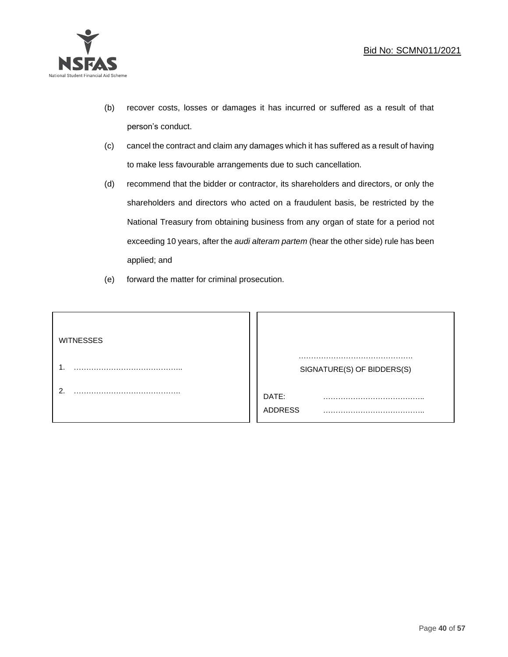

- (b) recover costs, losses or damages it has incurred or suffered as a result of that person's conduct.
- (c) cancel the contract and claim any damages which it has suffered as a result of having to make less favourable arrangements due to such cancellation.
- (d) recommend that the bidder or contractor, its shareholders and directors, or only the shareholders and directors who acted on a fraudulent basis, be restricted by the National Treasury from obtaining business from any organ of state for a period not exceeding 10 years, after the *audi alteram partem* (hear the other side) rule has been applied; and
- (e) forward the matter for criminal prosecution.

| <b>WITNESSES</b> |                              |
|------------------|------------------------------|
|                  | SIGNATURE(S) OF BIDDERS(S)   |
|                  | DATE:<br>.<br><b>ADDRESS</b> |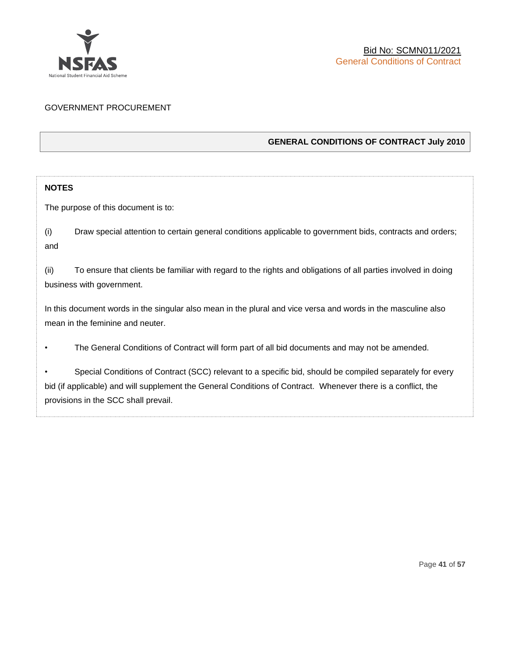

## GOVERNMENT PROCUREMENT

## **GENERAL CONDITIONS OF CONTRACT July 2010**

## **NOTES**

The purpose of this document is to:

(i) Draw special attention to certain general conditions applicable to government bids, contracts and orders; and

(ii) To ensure that clients be familiar with regard to the rights and obligations of all parties involved in doing business with government.

In this document words in the singular also mean in the plural and vice versa and words in the masculine also mean in the feminine and neuter.

• The General Conditions of Contract will form part of all bid documents and may not be amended.

Special Conditions of Contract (SCC) relevant to a specific bid, should be compiled separately for every bid (if applicable) and will supplement the General Conditions of Contract. Whenever there is a conflict, the provisions in the SCC shall prevail.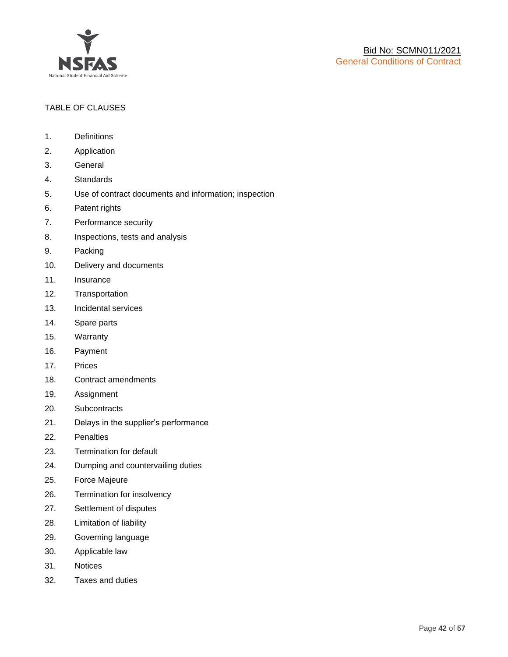

## TABLE OF CLAUSES

- 1. Definitions
- 2. Application
- 3. General
- 4. Standards
- 5. Use of contract documents and information; inspection
- 6. Patent rights
- 7. Performance security
- 8. Inspections, tests and analysis
- 9. Packing
- 10. Delivery and documents
- 11. Insurance
- 12. Transportation
- 13. Incidental services
- 14. Spare parts
- 15. Warranty
- 16. Payment
- 17. Prices
- 18. Contract amendments
- 19. Assignment
- 20. Subcontracts
- 21. Delays in the supplier's performance
- 22. Penalties
- 23. Termination for default
- 24. Dumping and countervailing duties
- 25. Force Majeure
- 26. Termination for insolvency
- 27. Settlement of disputes
- 28. Limitation of liability
- 29. Governing language
- 30. Applicable law
- 31. Notices
- 32. Taxes and duties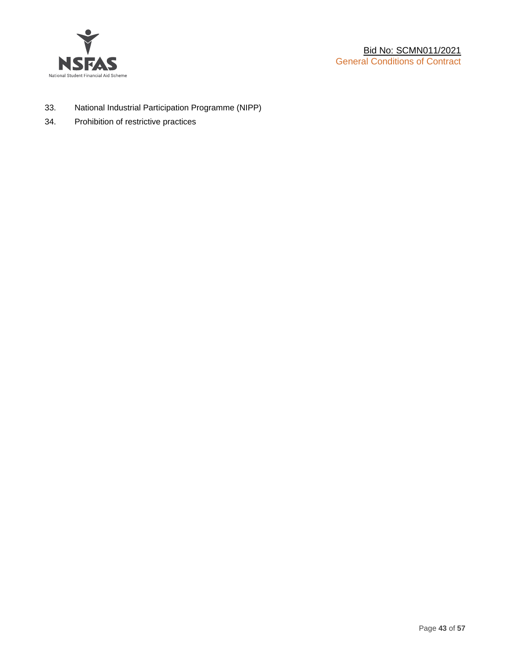

- 33. National Industrial Participation Programme (NIPP)
- 34. Prohibition of restrictive practices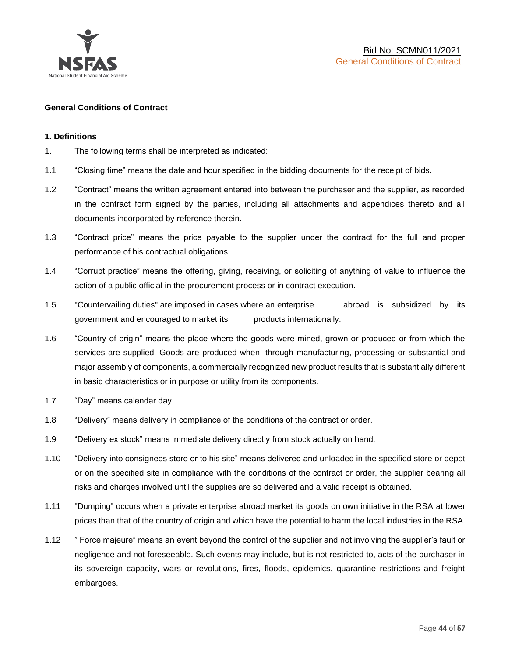

#### **General Conditions of Contract**

#### **1. Definitions**

- 1. The following terms shall be interpreted as indicated:
- 1.1 "Closing time" means the date and hour specified in the bidding documents for the receipt of bids.
- 1.2 "Contract" means the written agreement entered into between the purchaser and the supplier, as recorded in the contract form signed by the parties, including all attachments and appendices thereto and all documents incorporated by reference therein.
- 1.3 "Contract price" means the price payable to the supplier under the contract for the full and proper performance of his contractual obligations.
- 1.4 "Corrupt practice" means the offering, giving, receiving, or soliciting of anything of value to influence the action of a public official in the procurement process or in contract execution.
- 1.5 "Countervailing duties" are imposed in cases where an enterprise abroad is subsidized by its government and encouraged to market its products internationally.
- 1.6 "Country of origin" means the place where the goods were mined, grown or produced or from which the services are supplied. Goods are produced when, through manufacturing, processing or substantial and major assembly of components, a commercially recognized new product results that is substantially different in basic characteristics or in purpose or utility from its components.
- 1.7 "Day" means calendar day.
- 1.8 "Delivery" means delivery in compliance of the conditions of the contract or order.
- 1.9 "Delivery ex stock" means immediate delivery directly from stock actually on hand.
- 1.10 "Delivery into consignees store or to his site" means delivered and unloaded in the specified store or depot or on the specified site in compliance with the conditions of the contract or order, the supplier bearing all risks and charges involved until the supplies are so delivered and a valid receipt is obtained.
- 1.11 "Dumping" occurs when a private enterprise abroad market its goods on own initiative in the RSA at lower prices than that of the country of origin and which have the potential to harm the local industries in the RSA.
- 1.12 " Force majeure" means an event beyond the control of the supplier and not involving the supplier's fault or negligence and not foreseeable. Such events may include, but is not restricted to, acts of the purchaser in its sovereign capacity, wars or revolutions, fires, floods, epidemics, quarantine restrictions and freight embargoes.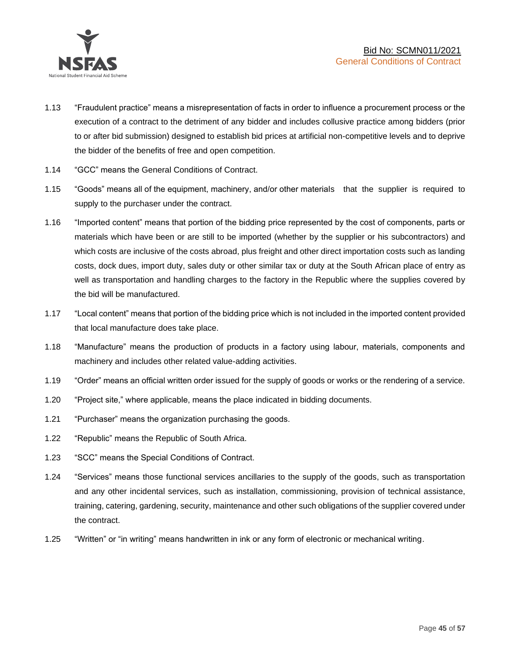

- 1.13 "Fraudulent practice" means a misrepresentation of facts in order to influence a procurement process or the execution of a contract to the detriment of any bidder and includes collusive practice among bidders (prior to or after bid submission) designed to establish bid prices at artificial non-competitive levels and to deprive the bidder of the benefits of free and open competition.
- 1.14 "GCC" means the General Conditions of Contract.
- 1.15 "Goods" means all of the equipment, machinery, and/or other materials that the supplier is required to supply to the purchaser under the contract.
- 1.16 "Imported content" means that portion of the bidding price represented by the cost of components, parts or materials which have been or are still to be imported (whether by the supplier or his subcontractors) and which costs are inclusive of the costs abroad, plus freight and other direct importation costs such as landing costs, dock dues, import duty, sales duty or other similar tax or duty at the South African place of entry as well as transportation and handling charges to the factory in the Republic where the supplies covered by the bid will be manufactured.
- 1.17 "Local content" means that portion of the bidding price which is not included in the imported content provided that local manufacture does take place.
- 1.18 "Manufacture" means the production of products in a factory using labour, materials, components and machinery and includes other related value-adding activities.
- 1.19 "Order" means an official written order issued for the supply of goods or works or the rendering of a service.
- 1.20 "Project site," where applicable, means the place indicated in bidding documents.
- 1.21 "Purchaser" means the organization purchasing the goods.
- 1.22 "Republic" means the Republic of South Africa.
- 1.23 "SCC" means the Special Conditions of Contract.
- 1.24 "Services" means those functional services ancillaries to the supply of the goods, such as transportation and any other incidental services, such as installation, commissioning, provision of technical assistance, training, catering, gardening, security, maintenance and other such obligations of the supplier covered under the contract.
- 1.25 "Written" or "in writing" means handwritten in ink or any form of electronic or mechanical writing.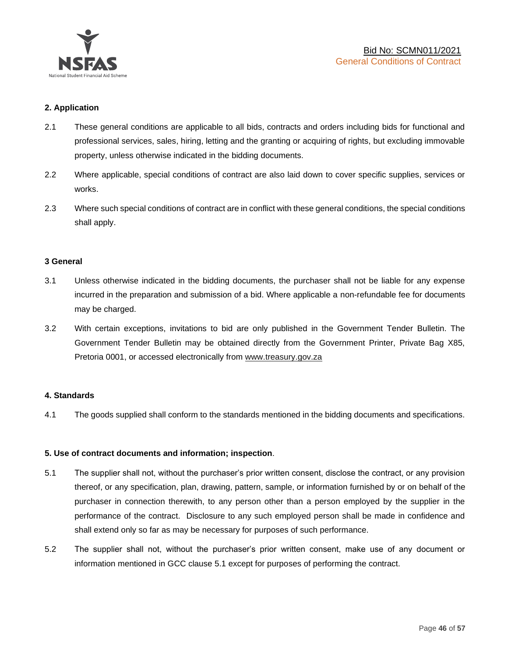

## **2. Application**

- 2.1 These general conditions are applicable to all bids, contracts and orders including bids for functional and professional services, sales, hiring, letting and the granting or acquiring of rights, but excluding immovable property, unless otherwise indicated in the bidding documents.
- 2.2 Where applicable, special conditions of contract are also laid down to cover specific supplies, services or works.
- 2.3 Where such special conditions of contract are in conflict with these general conditions, the special conditions shall apply.

#### **3 General**

- 3.1 Unless otherwise indicated in the bidding documents, the purchaser shall not be liable for any expense incurred in the preparation and submission of a bid. Where applicable a non-refundable fee for documents may be charged.
- 3.2 With certain exceptions, invitations to bid are only published in the Government Tender Bulletin. The Government Tender Bulletin may be obtained directly from the Government Printer, Private Bag X85, Pretoria 0001, or accessed electronically from [www.treasury.gov.za](http://www.treasury.gov.za/)

#### **4. Standards**

4.1 The goods supplied shall conform to the standards mentioned in the bidding documents and specifications.

#### **5. Use of contract documents and information; inspection**.

- 5.1 The supplier shall not, without the purchaser's prior written consent, disclose the contract, or any provision thereof, or any specification, plan, drawing, pattern, sample, or information furnished by or on behalf of the purchaser in connection therewith, to any person other than a person employed by the supplier in the performance of the contract. Disclosure to any such employed person shall be made in confidence and shall extend only so far as may be necessary for purposes of such performance.
- 5.2 The supplier shall not, without the purchaser's prior written consent, make use of any document or information mentioned in GCC clause 5.1 except for purposes of performing the contract.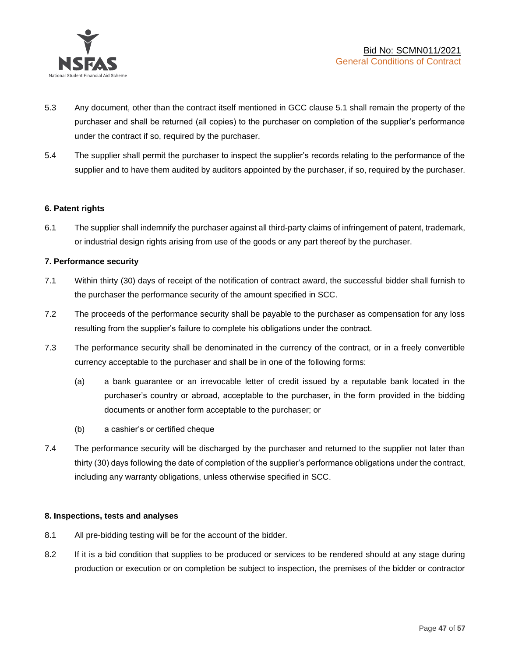

- 5.3 Any document, other than the contract itself mentioned in GCC clause 5.1 shall remain the property of the purchaser and shall be returned (all copies) to the purchaser on completion of the supplier's performance under the contract if so, required by the purchaser.
- 5.4 The supplier shall permit the purchaser to inspect the supplier's records relating to the performance of the supplier and to have them audited by auditors appointed by the purchaser, if so, required by the purchaser.

## **6. Patent rights**

6.1 The supplier shall indemnify the purchaser against all third-party claims of infringement of patent, trademark, or industrial design rights arising from use of the goods or any part thereof by the purchaser.

## **7. Performance security**

- 7.1 Within thirty (30) days of receipt of the notification of contract award, the successful bidder shall furnish to the purchaser the performance security of the amount specified in SCC.
- 7.2 The proceeds of the performance security shall be payable to the purchaser as compensation for any loss resulting from the supplier's failure to complete his obligations under the contract.
- 7.3 The performance security shall be denominated in the currency of the contract, or in a freely convertible currency acceptable to the purchaser and shall be in one of the following forms:
	- (a) a bank guarantee or an irrevocable letter of credit issued by a reputable bank located in the purchaser's country or abroad, acceptable to the purchaser, in the form provided in the bidding documents or another form acceptable to the purchaser; or
	- (b) a cashier's or certified cheque
- 7.4 The performance security will be discharged by the purchaser and returned to the supplier not later than thirty (30) days following the date of completion of the supplier's performance obligations under the contract, including any warranty obligations, unless otherwise specified in SCC.

#### **8. Inspections, tests and analyses**

- 8.1 All pre-bidding testing will be for the account of the bidder.
- 8.2 If it is a bid condition that supplies to be produced or services to be rendered should at any stage during production or execution or on completion be subject to inspection, the premises of the bidder or contractor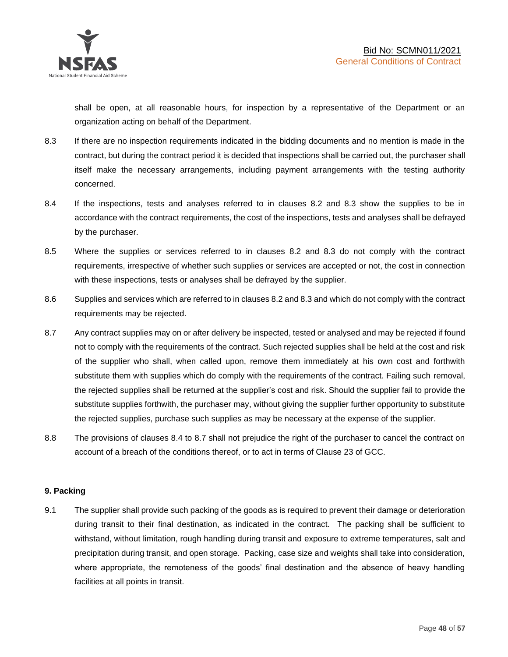shall be open, at all reasonable hours, for inspection by a representative of the Department or an organization acting on behalf of the Department.

- 8.3 If there are no inspection requirements indicated in the bidding documents and no mention is made in the contract, but during the contract period it is decided that inspections shall be carried out, the purchaser shall itself make the necessary arrangements, including payment arrangements with the testing authority concerned.
- 8.4 If the inspections, tests and analyses referred to in clauses 8.2 and 8.3 show the supplies to be in accordance with the contract requirements, the cost of the inspections, tests and analyses shall be defrayed by the purchaser.
- 8.5 Where the supplies or services referred to in clauses 8.2 and 8.3 do not comply with the contract requirements, irrespective of whether such supplies or services are accepted or not, the cost in connection with these inspections, tests or analyses shall be defrayed by the supplier.
- 8.6 Supplies and services which are referred to in clauses 8.2 and 8.3 and which do not comply with the contract requirements may be rejected.
- 8.7 Any contract supplies may on or after delivery be inspected, tested or analysed and may be rejected if found not to comply with the requirements of the contract. Such rejected supplies shall be held at the cost and risk of the supplier who shall, when called upon, remove them immediately at his own cost and forthwith substitute them with supplies which do comply with the requirements of the contract. Failing such removal, the rejected supplies shall be returned at the supplier's cost and risk. Should the supplier fail to provide the substitute supplies forthwith, the purchaser may, without giving the supplier further opportunity to substitute the rejected supplies, purchase such supplies as may be necessary at the expense of the supplier.
- 8.8 The provisions of clauses 8.4 to 8.7 shall not prejudice the right of the purchaser to cancel the contract on account of a breach of the conditions thereof, or to act in terms of Clause 23 of GCC.

## **9. Packing**

9.1 The supplier shall provide such packing of the goods as is required to prevent their damage or deterioration during transit to their final destination, as indicated in the contract. The packing shall be sufficient to withstand, without limitation, rough handling during transit and exposure to extreme temperatures, salt and precipitation during transit, and open storage. Packing, case size and weights shall take into consideration, where appropriate, the remoteness of the goods' final destination and the absence of heavy handling facilities at all points in transit.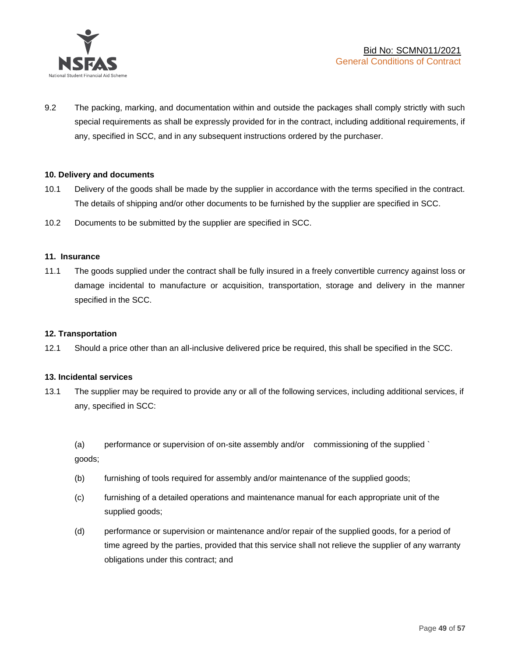

9.2 The packing, marking, and documentation within and outside the packages shall comply strictly with such special requirements as shall be expressly provided for in the contract, including additional requirements, if any, specified in SCC, and in any subsequent instructions ordered by the purchaser.

#### **10. Delivery and documents**

- 10.1 Delivery of the goods shall be made by the supplier in accordance with the terms specified in the contract. The details of shipping and/or other documents to be furnished by the supplier are specified in SCC.
- 10.2 Documents to be submitted by the supplier are specified in SCC.

#### **11. Insurance**

11.1 The goods supplied under the contract shall be fully insured in a freely convertible currency against loss or damage incidental to manufacture or acquisition, transportation, storage and delivery in the manner specified in the SCC.

#### **12. Transportation**

12.1 Should a price other than an all-inclusive delivered price be required, this shall be specified in the SCC.

#### **13. Incidental services**

13.1 The supplier may be required to provide any or all of the following services, including additional services, if any, specified in SCC:

(a) performance or supervision of on-site assembly and/or commissioning of the supplied ` goods;

- (b) furnishing of tools required for assembly and/or maintenance of the supplied goods;
- (c) furnishing of a detailed operations and maintenance manual for each appropriate unit of the supplied goods;
- (d) performance or supervision or maintenance and/or repair of the supplied goods, for a period of time agreed by the parties, provided that this service shall not relieve the supplier of any warranty obligations under this contract; and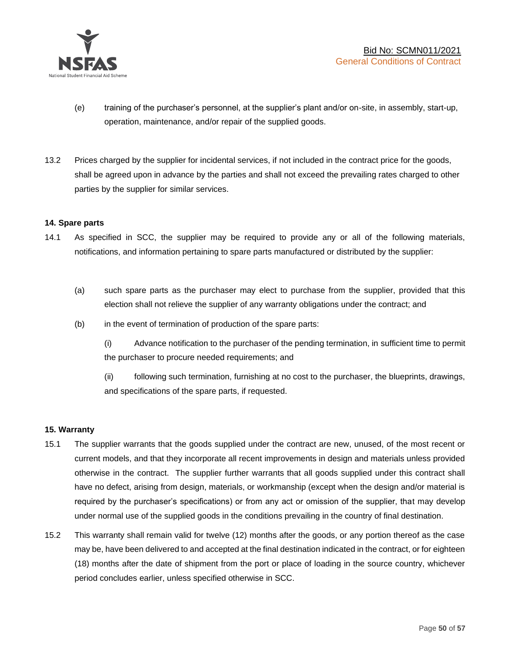

- (e) training of the purchaser's personnel, at the supplier's plant and/or on-site, in assembly, start-up, operation, maintenance, and/or repair of the supplied goods.
- 13.2 Prices charged by the supplier for incidental services, if not included in the contract price for the goods, shall be agreed upon in advance by the parties and shall not exceed the prevailing rates charged to other parties by the supplier for similar services.

## **14. Spare parts**

- 14.1 As specified in SCC, the supplier may be required to provide any or all of the following materials, notifications, and information pertaining to spare parts manufactured or distributed by the supplier:
	- (a) such spare parts as the purchaser may elect to purchase from the supplier, provided that this election shall not relieve the supplier of any warranty obligations under the contract; and
	- (b) in the event of termination of production of the spare parts:

(i) Advance notification to the purchaser of the pending termination, in sufficient time to permit the purchaser to procure needed requirements; and

(ii) following such termination, furnishing at no cost to the purchaser, the blueprints, drawings, and specifications of the spare parts, if requested.

#### **15. Warranty**

- 15.1 The supplier warrants that the goods supplied under the contract are new, unused, of the most recent or current models, and that they incorporate all recent improvements in design and materials unless provided otherwise in the contract. The supplier further warrants that all goods supplied under this contract shall have no defect, arising from design, materials, or workmanship (except when the design and/or material is required by the purchaser's specifications) or from any act or omission of the supplier, that may develop under normal use of the supplied goods in the conditions prevailing in the country of final destination.
- 15.2 This warranty shall remain valid for twelve (12) months after the goods, or any portion thereof as the case may be, have been delivered to and accepted at the final destination indicated in the contract, or for eighteen (18) months after the date of shipment from the port or place of loading in the source country, whichever period concludes earlier, unless specified otherwise in SCC.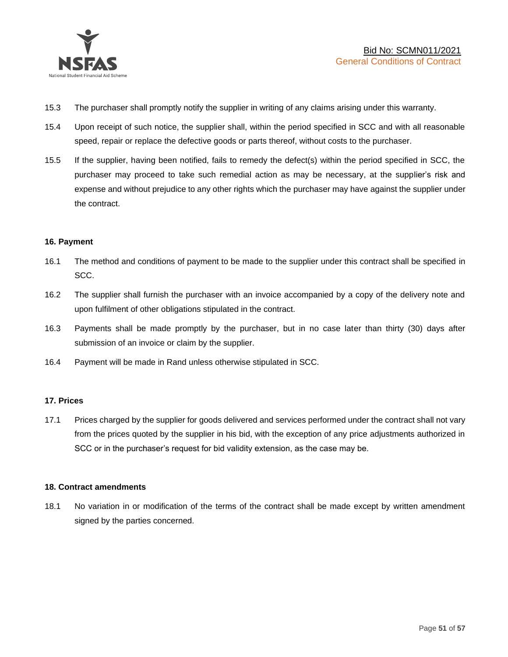

- 15.3 The purchaser shall promptly notify the supplier in writing of any claims arising under this warranty.
- 15.4 Upon receipt of such notice, the supplier shall, within the period specified in SCC and with all reasonable speed, repair or replace the defective goods or parts thereof, without costs to the purchaser.
- 15.5 If the supplier, having been notified, fails to remedy the defect(s) within the period specified in SCC, the purchaser may proceed to take such remedial action as may be necessary, at the supplier's risk and expense and without prejudice to any other rights which the purchaser may have against the supplier under the contract.

## **16. Payment**

- 16.1 The method and conditions of payment to be made to the supplier under this contract shall be specified in SCC.
- 16.2 The supplier shall furnish the purchaser with an invoice accompanied by a copy of the delivery note and upon fulfilment of other obligations stipulated in the contract.
- 16.3 Payments shall be made promptly by the purchaser, but in no case later than thirty (30) days after submission of an invoice or claim by the supplier.
- 16.4 Payment will be made in Rand unless otherwise stipulated in SCC.

#### **17. Prices**

17.1 Prices charged by the supplier for goods delivered and services performed under the contract shall not vary from the prices quoted by the supplier in his bid, with the exception of any price adjustments authorized in SCC or in the purchaser's request for bid validity extension, as the case may be.

#### **18. Contract amendments**

18.1 No variation in or modification of the terms of the contract shall be made except by written amendment signed by the parties concerned.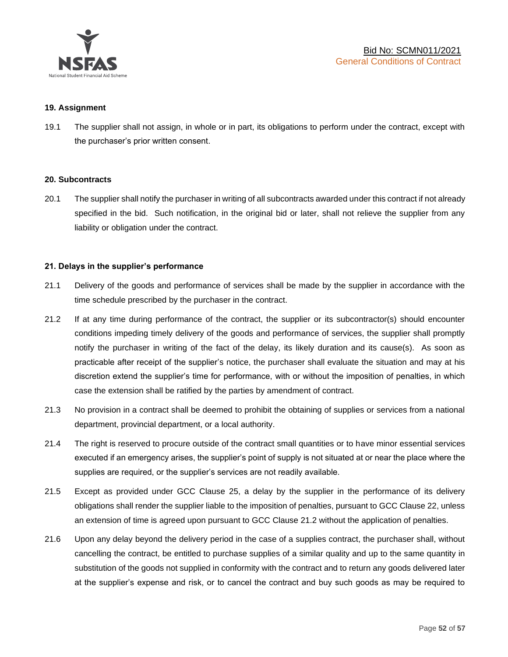

#### **19. Assignment**

19.1 The supplier shall not assign, in whole or in part, its obligations to perform under the contract, except with the purchaser's prior written consent.

#### **20. Subcontracts**

20.1 The supplier shall notify the purchaser in writing of all subcontracts awarded under this contract if not already specified in the bid. Such notification, in the original bid or later, shall not relieve the supplier from any liability or obligation under the contract.

#### **21. Delays in the supplier's performance**

- 21.1 Delivery of the goods and performance of services shall be made by the supplier in accordance with the time schedule prescribed by the purchaser in the contract.
- 21.2 If at any time during performance of the contract, the supplier or its subcontractor(s) should encounter conditions impeding timely delivery of the goods and performance of services, the supplier shall promptly notify the purchaser in writing of the fact of the delay, its likely duration and its cause(s). As soon as practicable after receipt of the supplier's notice, the purchaser shall evaluate the situation and may at his discretion extend the supplier's time for performance, with or without the imposition of penalties, in which case the extension shall be ratified by the parties by amendment of contract.
- 21.3 No provision in a contract shall be deemed to prohibit the obtaining of supplies or services from a national department, provincial department, or a local authority.
- 21.4 The right is reserved to procure outside of the contract small quantities or to have minor essential services executed if an emergency arises, the supplier's point of supply is not situated at or near the place where the supplies are required, or the supplier's services are not readily available.
- 21.5 Except as provided under GCC Clause 25, a delay by the supplier in the performance of its delivery obligations shall render the supplier liable to the imposition of penalties, pursuant to GCC Clause 22, unless an extension of time is agreed upon pursuant to GCC Clause 21.2 without the application of penalties.
- 21.6 Upon any delay beyond the delivery period in the case of a supplies contract, the purchaser shall, without cancelling the contract, be entitled to purchase supplies of a similar quality and up to the same quantity in substitution of the goods not supplied in conformity with the contract and to return any goods delivered later at the supplier's expense and risk, or to cancel the contract and buy such goods as may be required to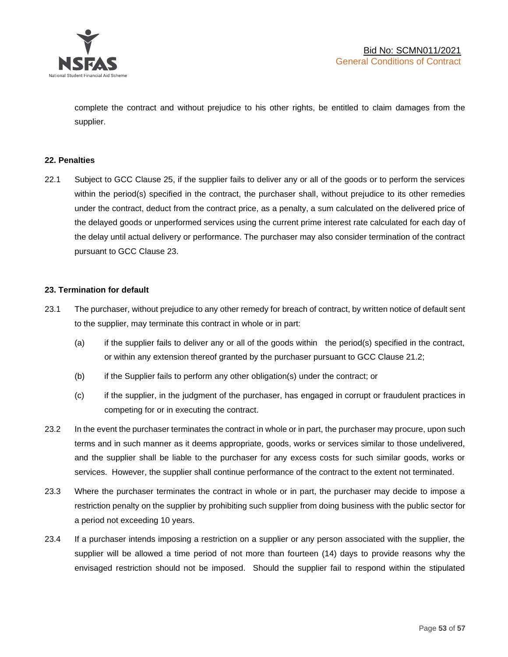

complete the contract and without prejudice to his other rights, be entitled to claim damages from the supplier.

#### **22. Penalties**

22.1 Subject to GCC Clause 25, if the supplier fails to deliver any or all of the goods or to perform the services within the period(s) specified in the contract, the purchaser shall, without prejudice to its other remedies under the contract, deduct from the contract price, as a penalty, a sum calculated on the delivered price of the delayed goods or unperformed services using the current prime interest rate calculated for each day of the delay until actual delivery or performance. The purchaser may also consider termination of the contract pursuant to GCC Clause 23.

## **23. Termination for default**

- 23.1 The purchaser, without prejudice to any other remedy for breach of contract, by written notice of default sent to the supplier, may terminate this contract in whole or in part:
	- (a) if the supplier fails to deliver any or all of the goods within the period(s) specified in the contract, or within any extension thereof granted by the purchaser pursuant to GCC Clause 21.2;
	- (b) if the Supplier fails to perform any other obligation(s) under the contract; or
	- (c) if the supplier, in the judgment of the purchaser, has engaged in corrupt or fraudulent practices in competing for or in executing the contract.
- 23.2 In the event the purchaser terminates the contract in whole or in part, the purchaser may procure, upon such terms and in such manner as it deems appropriate, goods, works or services similar to those undelivered, and the supplier shall be liable to the purchaser for any excess costs for such similar goods, works or services. However, the supplier shall continue performance of the contract to the extent not terminated.
- 23.3 Where the purchaser terminates the contract in whole or in part, the purchaser may decide to impose a restriction penalty on the supplier by prohibiting such supplier from doing business with the public sector for a period not exceeding 10 years.
- 23.4 If a purchaser intends imposing a restriction on a supplier or any person associated with the supplier, the supplier will be allowed a time period of not more than fourteen (14) days to provide reasons why the envisaged restriction should not be imposed. Should the supplier fail to respond within the stipulated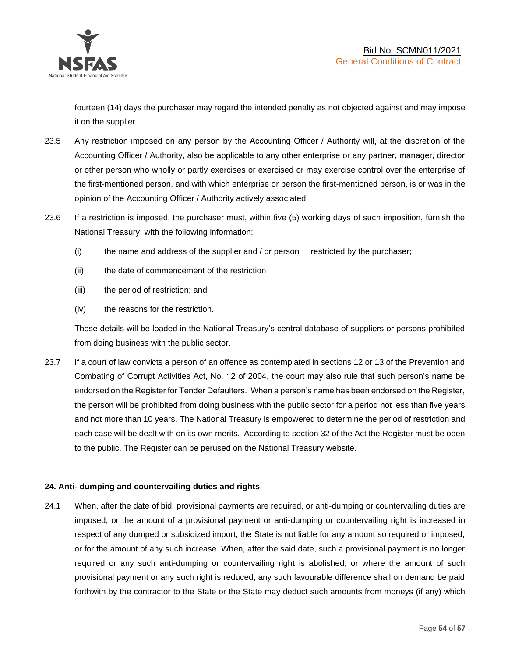

fourteen (14) days the purchaser may regard the intended penalty as not objected against and may impose it on the supplier.

- 23.5 Any restriction imposed on any person by the Accounting Officer / Authority will, at the discretion of the Accounting Officer / Authority, also be applicable to any other enterprise or any partner, manager, director or other person who wholly or partly exercises or exercised or may exercise control over the enterprise of the first-mentioned person, and with which enterprise or person the first-mentioned person, is or was in the opinion of the Accounting Officer / Authority actively associated.
- 23.6 If a restriction is imposed, the purchaser must, within five (5) working days of such imposition, furnish the National Treasury, with the following information:
	- (i) the name and address of the supplier and / or person restricted by the purchaser;
	- (ii) the date of commencement of the restriction
	- (iii) the period of restriction; and
	- (iv) the reasons for the restriction.

These details will be loaded in the National Treasury's central database of suppliers or persons prohibited from doing business with the public sector.

23.7 If a court of law convicts a person of an offence as contemplated in sections 12 or 13 of the Prevention and Combating of Corrupt Activities Act, No. 12 of 2004, the court may also rule that such person's name be endorsed on the Register for Tender Defaulters. When a person's name has been endorsed on the Register, the person will be prohibited from doing business with the public sector for a period not less than five years and not more than 10 years. The National Treasury is empowered to determine the period of restriction and each case will be dealt with on its own merits. According to section 32 of the Act the Register must be open to the public. The Register can be perused on the National Treasury website.

## **24. Anti- dumping and countervailing duties and rights**

24.1 When, after the date of bid, provisional payments are required, or anti-dumping or countervailing duties are imposed, or the amount of a provisional payment or anti-dumping or countervailing right is increased in respect of any dumped or subsidized import, the State is not liable for any amount so required or imposed, or for the amount of any such increase. When, after the said date, such a provisional payment is no longer required or any such anti-dumping or countervailing right is abolished, or where the amount of such provisional payment or any such right is reduced, any such favourable difference shall on demand be paid forthwith by the contractor to the State or the State may deduct such amounts from moneys (if any) which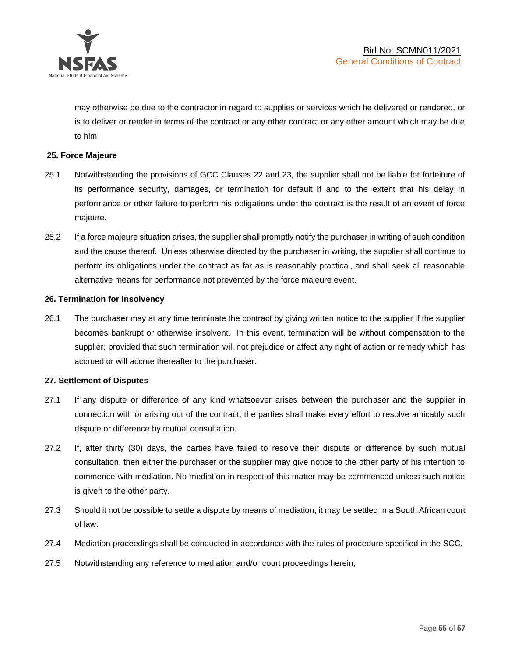

may otherwise be due to the contractor in regard to supplies or services which he delivered or rendered, or is to deliver or render in terms of the contract or any other contract or any other amount which may be due to him

## **25. Force Majeure**

- 25.1 Notwithstanding the provisions of GCC Clauses 22 and 23, the supplier shall not be liable for forfeiture of its performance security, damages, or termination for default if and to the extent that his delay in performance or other failure to perform his obligations under the contract is the result of an event of force majeure.
- 25.2 If a force majeure situation arises, the supplier shall promptly notify the purchaser in writing of such condition and the cause thereof. Unless otherwise directed by the purchaser in writing, the supplier shall continue to perform its obligations under the contract as far as is reasonably practical, and shall seek all reasonable alternative means for performance not prevented by the force majeure event.

#### **26. Termination for insolvency**

26.1 The purchaser may at any time terminate the contract by giving written notice to the supplier if the supplier becomes bankrupt or otherwise insolvent. In this event, termination will be without compensation to the supplier, provided that such termination will not prejudice or affect any right of action or remedy which has accrued or will accrue thereafter to the purchaser.

#### **27. Settlement of Disputes**

- 27.1 If any dispute or difference of any kind whatsoever arises between the purchaser and the supplier in connection with or arising out of the contract, the parties shall make every effort to resolve amicably such dispute or difference by mutual consultation.
- 27.2 If, after thirty (30) days, the parties have failed to resolve their dispute or difference by such mutual consultation, then either the purchaser or the supplier may give notice to the other party of his intention to commence with mediation. No mediation in respect of this matter may be commenced unless such notice is given to the other party.
- 27.3 Should it not be possible to settle a dispute by means of mediation, it may be settled in a South African court of law.
- 27.4 Mediation proceedings shall be conducted in accordance with the rules of procedure specified in the SCC.
- 27.5 Notwithstanding any reference to mediation and/or court proceedings herein,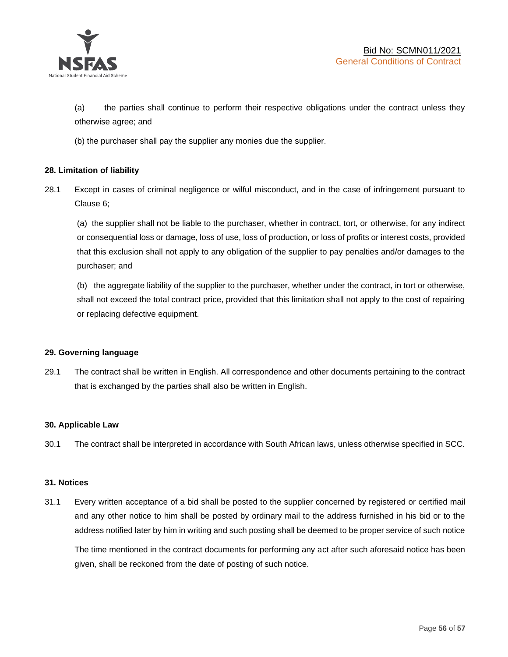

(a) the parties shall continue to perform their respective obligations under the contract unless they otherwise agree; and

(b) the purchaser shall pay the supplier any monies due the supplier.

## **28. Limitation of liability**

28.1 Except in cases of criminal negligence or wilful misconduct, and in the case of infringement pursuant to Clause 6;

(a) the supplier shall not be liable to the purchaser, whether in contract, tort, or otherwise, for any indirect or consequential loss or damage, loss of use, loss of production, or loss of profits or interest costs, provided that this exclusion shall not apply to any obligation of the supplier to pay penalties and/or damages to the purchaser; and

(b) the aggregate liability of the supplier to the purchaser, whether under the contract, in tort or otherwise, shall not exceed the total contract price, provided that this limitation shall not apply to the cost of repairing or replacing defective equipment.

#### **29. Governing language**

29.1 The contract shall be written in English. All correspondence and other documents pertaining to the contract that is exchanged by the parties shall also be written in English.

#### **30. Applicable Law**

30.1 The contract shall be interpreted in accordance with South African laws, unless otherwise specified in SCC.

#### **31. Notices**

31.1 Every written acceptance of a bid shall be posted to the supplier concerned by registered or certified mail and any other notice to him shall be posted by ordinary mail to the address furnished in his bid or to the address notified later by him in writing and such posting shall be deemed to be proper service of such notice

The time mentioned in the contract documents for performing any act after such aforesaid notice has been given, shall be reckoned from the date of posting of such notice.